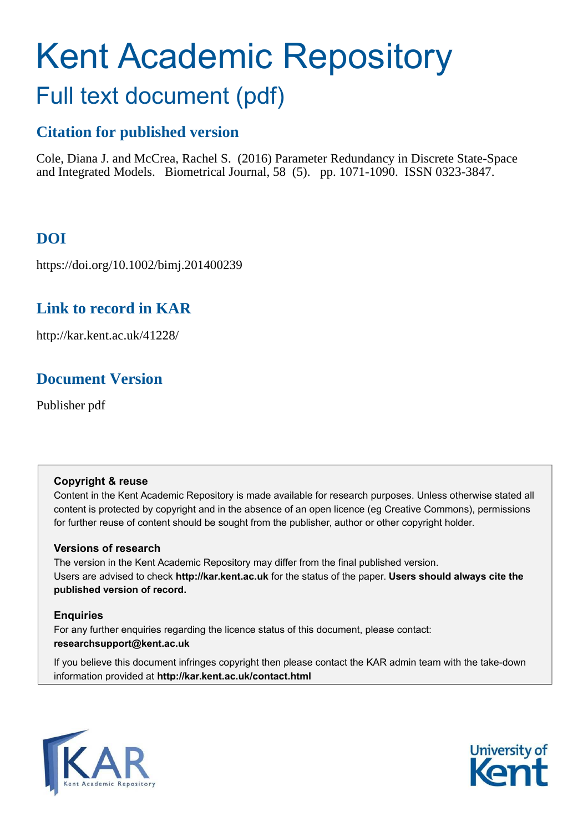# Kent Academic Repository Full text document (pdf)

# **Citation for published version**

Cole, Diana J. and McCrea, Rachel S. (2016) Parameter Redundancy in Discrete State-Space and Integrated Models. Biometrical Journal, 58 (5). pp. 1071-1090. ISSN 0323-3847.

# **DOI**

https://doi.org/10.1002/bimj.201400239

# **Link to record in KAR**

http://kar.kent.ac.uk/41228/

# **Document Version**

Publisher pdf

### **Copyright & reuse**

Content in the Kent Academic Repository is made available for research purposes. Unless otherwise stated all content is protected by copyright and in the absence of an open licence (eg Creative Commons), permissions for further reuse of content should be sought from the publisher, author or other copyright holder.

## **Versions of research**

The version in the Kent Academic Repository may differ from the final published version. Users are advised to check **http://kar.kent.ac.uk** for the status of the paper. **Users should always cite the published version of record.**

## **Enquiries**

For any further enquiries regarding the licence status of this document, please contact: **researchsupport@kent.ac.uk**

If you believe this document infringes copyright then please contact the KAR admin team with the take-down information provided at **http://kar.kent.ac.uk/contact.html**



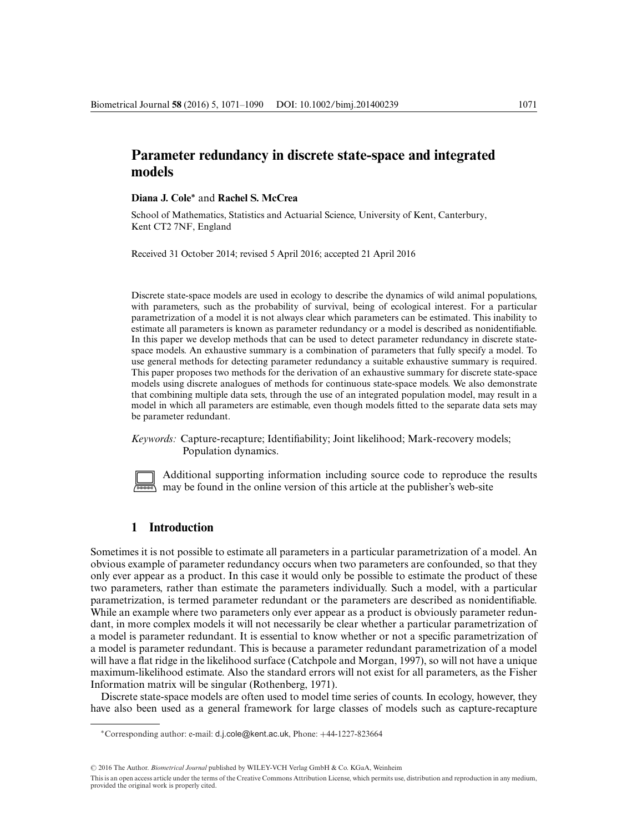## **Parameter redundancy in discrete state-space and integrated models**

#### **Diana J. Cole**<sup>∗</sup> and **Rachel S. McCrea**

School of Mathematics, Statistics and Actuarial Science, University of Kent, Canterbury, Kent CT2 7NF, England

Received 31 October 2014; revised 5 April 2016; accepted 21 April 2016

Discrete state-space models are used in ecology to describe the dynamics of wild animal populations, with parameters, such as the probability of survival, being of ecological interest. For a particular parametrization of a model it is not always clear which parameters can be estimated. This inability to estimate all parameters is known as parameter redundancy or a model is described as nonidentifiable. In this paper we develop methods that can be used to detect parameter redundancy in discrete statespace models. An exhaustive summary is a combination of parameters that fully specify a model. To use general methods for detecting parameter redundancy a suitable exhaustive summary is required. This paper proposes two methods for the derivation of an exhaustive summary for discrete state-space models using discrete analogues of methods for continuous state-space models. We also demonstrate that combining multiple data sets, through the use of an integrated population model, may result in a model in which all parameters are estimable, even though models fitted to the separate data sets may be parameter redundant.

*Keywords:* Capture-recapture; Identifiability; Joint likelihood; Mark-recovery models; Population dynamics.



Additional supporting information including source code to reproduce the results may be found in the online version of this article at the publisher's web-site

#### **1 Introduction**

Sometimes it is not possible to estimate all parameters in a particular parametrization of a model. An obvious example of parameter redundancy occurs when two parameters are confounded, so that they only ever appear as a product. In this case it would only be possible to estimate the product of these two parameters, rather than estimate the parameters individually. Such a model, with a particular parametrization, is termed parameter redundant or the parameters are described as nonidentifiable. While an example where two parameters only ever appear as a product is obviously parameter redundant, in more complex models it will not necessarily be clear whether a particular parametrization of a model is parameter redundant. It is essential to know whether or not a specific parametrization of a model is parameter redundant. This is because a parameter redundant parametrization of a model will have a flat ridge in the likelihood surface (Catchpole and Morgan, 1997), so will not have a unique maximum-likelihood estimate. Also the standard errors will not exist for all parameters, as the Fisher Information matrix will be singular (Rothenberg, 1971).

Discrete state-space models are often used to model time series of counts. In ecology, however, they have also been used as a general framework for large classes of models such as capture-recapture

<sup>∗</sup>Corresponding author: e-mail: d.j.cole@kent.ac.uk, Phone: +44-1227-823664

<sup>C</sup> 2016 The Author. *Biometrical Journal* published by WILEY-VCH Verlag GmbH & Co. KGaA, Weinheim

This is an open access article under the terms of the Creative Commons Attribution License, which permits use, distribution and reproduction in any medium, provided the original work is properly cited.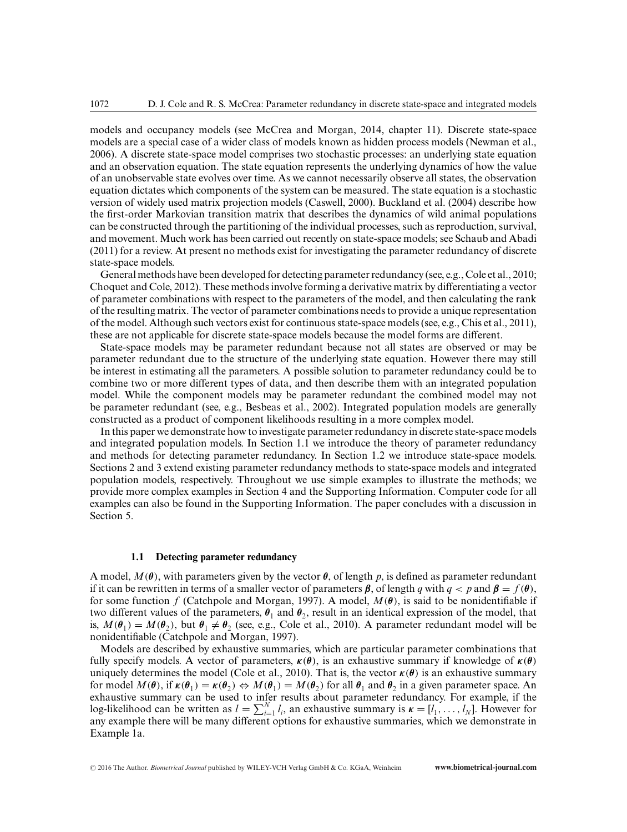models and occupancy models (see McCrea and Morgan, 2014, chapter 11). Discrete state-space models are a special case of a wider class of models known as hidden process models (Newman et al., 2006). A discrete state-space model comprises two stochastic processes: an underlying state equation and an observation equation. The state equation represents the underlying dynamics of how the value of an unobservable state evolves over time. As we cannot necessarily observe all states, the observation equation dictates which components of the system can be measured. The state equation is a stochastic version of widely used matrix projection models (Caswell, 2000). Buckland et al. (2004) describe how the first-order Markovian transition matrix that describes the dynamics of wild animal populations can be constructed through the partitioning of the individual processes, such as reproduction, survival, and movement. Much work has been carried out recently on state-space models; see Schaub and Abadi (2011) for a review. At present no methods exist for investigating the parameter redundancy of discrete state-space models.

General methods have been developed for detecting parameter redundancy (see, e.g., Cole et al., 2010; Choquet and Cole, 2012). These methods involve forming a derivative matrix by differentiating a vector of parameter combinations with respect to the parameters of the model, and then calculating the rank of the resulting matrix. The vector of parameter combinations needs to provide a unique representation of the model. Although such vectors exist for continuous state-space models (see, e.g., Chis et al., 2011), these are not applicable for discrete state-space models because the model forms are different.

State-space models may be parameter redundant because not all states are observed or may be parameter redundant due to the structure of the underlying state equation. However there may still be interest in estimating all the parameters. A possible solution to parameter redundancy could be to combine two or more different types of data, and then describe them with an integrated population model. While the component models may be parameter redundant the combined model may not be parameter redundant (see, e.g., Besbeas et al., 2002). Integrated population models are generally constructed as a product of component likelihoods resulting in a more complex model.

In this paper we demonstrate how to investigate parameter redundancy in discrete state-space models and integrated population models. In Section 1.1 we introduce the theory of parameter redundancy and methods for detecting parameter redundancy. In Section 1.2 we introduce state-space models. Sections 2 and 3 extend existing parameter redundancy methods to state-space models and integrated population models, respectively. Throughout we use simple examples to illustrate the methods; we provide more complex examples in Section 4 and the Supporting Information. Computer code for all examples can also be found in the Supporting Information. The paper concludes with a discussion in Section 5.

#### **1.1 Detecting parameter redundancy**

A model,  $M(\theta)$ , with parameters given by the vector  $\theta$ , of length p, is defined as parameter redundant if it can be rewritten in terms of a smaller vector of parameters  $\beta$ , of length *q* with  $q < p$  and  $\beta = f(\theta)$ , for some function *f* (Catchpole and Morgan, 1997). A model,  $M(\theta)$ , is said to be nonidentifiable if two different values of the parameters,  $\theta_1$  and  $\theta_2$ , result in an identical expression of the model, that is,  $M(\theta_1) = M(\theta_2)$ , but  $\theta_1 \neq \theta_2$  (see, e.g., Cole et al., 2010). A parameter redundant model will be nonidentifiable (Catchpole and Morgan, 1997).

Models are described by exhaustive summaries, which are particular parameter combinations that fully specify models. A vector of parameters,  $\kappa(\theta)$ , is an exhaustive summary if knowledge of  $\kappa(\theta)$ uniquely determines the model (Cole et al., 2010). That is, the vector  $\kappa(\theta)$  is an exhaustive summary for model  $M(\theta)$ , if  $\kappa(\theta_1) = \kappa(\theta_2) \Leftrightarrow M(\theta_1) = M(\theta_2)$  for all  $\theta_1$  and  $\theta_2$  in a given parameter space. An exhaustive summary can be used to infer results about parameter redundancy. For example, if the log-likelihood can be written as  $l = \sum_{i=1}^{N} l_i$ , an exhaustive summary is  $\kappa = [l_1, \ldots, l_N]$ . However for any example there will be many different options for exhaustive summaries, which we demonstrate in Example 1a.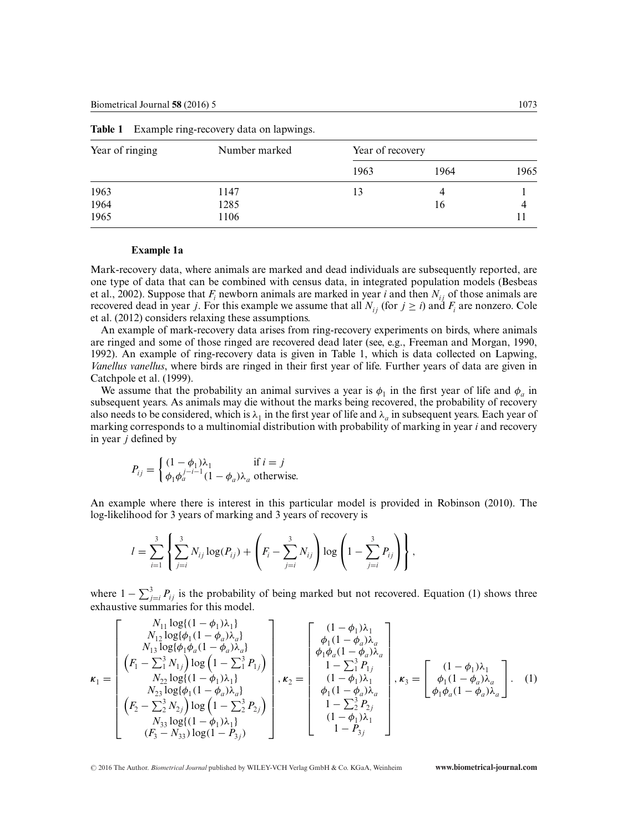| Year of ringing | Number marked | Year of recovery |      |      |
|-----------------|---------------|------------------|------|------|
|                 |               | 1963             | 1964 | 1965 |
| 1963            | 1147          | 13               |      |      |
| 1964            | 1285          |                  | 16   |      |
| 1965            | 1106          |                  |      |      |

**Table 1** Example ring-recovery data on lapwings.

#### **Example 1a**

Mark-recovery data, where animals are marked and dead individuals are subsequently reported, are one type of data that can be combined with census data, in integrated population models (Besbeas et al., 2002). Suppose that  $F_i$  newborn animals are marked in year *i* and then  $N_i$  of those animals are recovered dead in year *j*. For this example we assume that all  $N_{ij}$  (for  $j \ge i$ ) and  $F_i$  are nonzero. Cole et al. (2012) considers relaxing these assumptions.

An example of mark-recovery data arises from ring-recovery experiments on birds, where animals are ringed and some of those ringed are recovered dead later (see, e.g., Freeman and Morgan, 1990, 1992). An example of ring-recovery data is given in Table 1, which is data collected on Lapwing, *Vanellus vanellus*, where birds are ringed in their first year of life. Further years of data are given in Catchpole et al. (1999).

We assume that the probability an animal survives a year is  $\phi_1$  in the first year of life and  $\phi_a$  in subsequent years. As animals may die without the marks being recovered, the probability of recovery also needs to be considered, which is  $\lambda_1$  in the first year of life and  $\lambda_a$  in subsequent years. Each year of marking corresponds to a multinomial distribution with probability of marking in year *i* and recovery in year *j* defined by

$$
P_{ij} = \begin{cases} (1 - \phi_1)\lambda_1 & \text{if } i = j \\ \phi_1 \phi_a^{j-i-1} (1 - \phi_a)\lambda_a & \text{otherwise.} \end{cases}
$$

An example where there is interest in this particular model is provided in Robinson (2010). The log-likelihood for 3 years of marking and 3 years of recovery is

$$
l = \sum_{i=1}^{3} \left\{ \sum_{j=i}^{3} N_{ij} \log(P_{ij}) + \left(F_i - \sum_{j=i}^{3} N_{ij}\right) \log\left(1 - \sum_{j=i}^{3} P_{ij}\right) \right\},\,
$$

where  $1 - \sum_{j=i}^{3} P_{ij}$  is the probability of being marked but not recovered. Equation (1) shows three exhaustive summaries for this model.

$$
\kappa_{1} = \begin{bmatrix}\nN_{11} \log\{(1 - \phi_{1})\lambda_{1}\} \\
N_{12} \log\{\phi_{1}(1 - \phi_{a})\lambda_{a}\} \\
N_{13} \log\{\phi_{1}\phi_{a}(1 - \phi_{a})\lambda_{a}\} \\
N_{22} \log\{(1 - \phi_{1})\lambda_{1}\} \\
N_{23} \log\{\phi_{1}(1 - \phi_{a})\lambda_{a}\} \\
\left(F_{2} - \sum_{2}^{3} N_{1j}\right) \log\left(1 - \sum_{1}^{3} P_{1j}\right) \\
N_{33} \log\{\phi_{1}(1 - \phi_{a})\lambda_{a}\} \\
N_{34} \log\{(1 - \phi_{1})\lambda_{1}\} \\
N_{45} \log\{(1 - \phi_{1})\lambda_{1}\} \\
N_{56} \log\{(1 - \phi_{1})\lambda_{1}\} \\
\left(F_{3} - N_{33}\right) \log(1 - P_{3j})\n\end{bmatrix}, \kappa_{2} = \begin{bmatrix}\n(1 - \phi_{1})\lambda_{1} \\
\phi_{1}(1 - \phi_{a})\lambda_{a} \\
1 - \sum_{1}^{3} P_{1j} \\
\phi_{1}(1 - \phi_{a})\lambda_{a} \\
\phi_{1}(1 - \phi_{a})\lambda_{a} \\
1 - \sum_{2}^{3} P_{2j} \\
1 - P_{3j}\n\end{bmatrix}, \kappa_{3} = \begin{bmatrix}\n(1 - \phi_{1})\lambda_{1} \\
\phi_{1}(1 - \phi_{a})\lambda_{a} \\
\phi_{1}\phi_{a}(1 - \phi_{a})\lambda_{a} \\
\phi_{1}\phi_{a}(1 - \phi_{a})\lambda_{a}\n\end{bmatrix}.
$$
 (1)

<sup>C</sup> 2016 The Author. *Biometrical Journal* published by WILEY-VCH Verlag GmbH & Co. KGaA, Weinheim **www.biometrical-journal.com**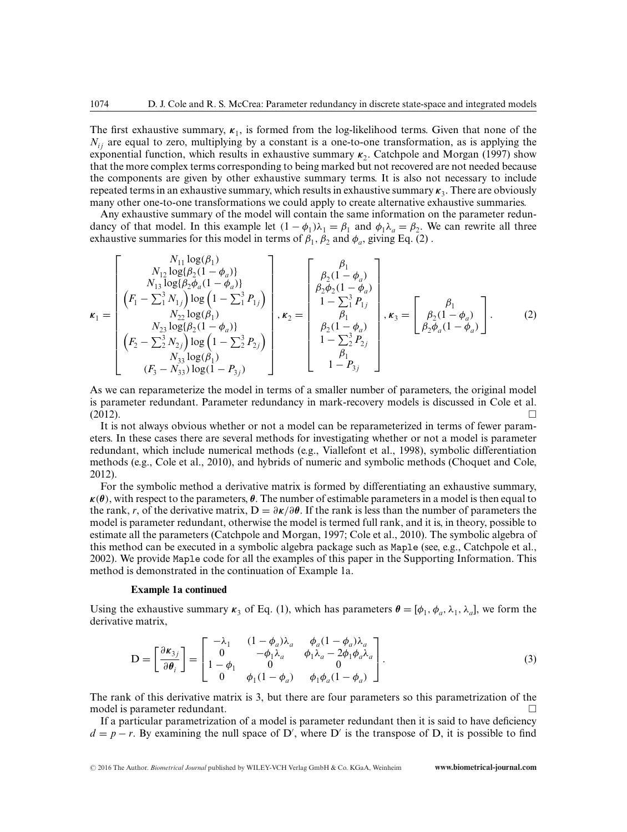The first exhaustive summary,  $\kappa_1$ , is formed from the log-likelihood terms. Given that none of the  $N_{ij}$  are equal to zero, multiplying by a constant is a one-to-one transformation, as is applying the exponential function, which results in exhaustive summary  $\kappa_2$ . Catchpole and Morgan (1997) show that the more complex terms corresponding to being marked but not recovered are not needed because the components are given by other exhaustive summary terms. It is also not necessary to include repeated terms in an exhaustive summary, which results in exhaustive summary  $\kappa_{3}$ . There are obviously many other one-to-one transformations we could apply to create alternative exhaustive summaries.

Any exhaustive summary of the model will contain the same information on the parameter redundancy of that model. In this example let  $(1 - \phi_1)\lambda_1 = \beta_1$  and  $\phi_1\lambda_a = \beta_2$ . We can rewrite all three exhaustive summaries for this model in terms of  $\beta_1$ ,  $\beta_2$  and  $\phi_a$ , giving Eq. (2).

$$
\kappa_{1} = \begin{bmatrix}\nN_{11} \log(\beta_{1}) & \beta_{12} \log(\beta_{2}(1-\phi_{a})) \\
N_{13} \log(\beta_{2}\phi_{a}(1-\phi_{a})) & \beta_{2}(1-\phi_{a}) \\
F_{1} - \sum_{1}^{3} N_{1j} \log(\beta_{1} - \sum_{1}^{3} P_{1j}) \\
N_{23} \log(\beta_{2}(1-\phi_{a})) & N_{33} \log(\beta_{1}) \\
F_{2} - \sum_{2}^{3} N_{2j} \log(\beta_{1}) & (F_{3} - N_{33}) \log(1-P_{3j})\n\end{bmatrix}, \kappa_{2} = \begin{bmatrix}\n\beta_{1} & \beta_{2}(1-\phi_{a}) & \beta_{2}(1-\phi_{a}) \\
\beta_{2}\phi_{2}(1-\phi_{a}) & 1 - \sum_{1}^{3} P_{1j} \\
\beta_{1} & \beta_{2}(1-\phi_{a}) & \beta_{2}(1-\phi_{a}) \\
\beta_{2}(\beta_{1} - \beta_{a}) & 1 - \sum_{2}^{3} P_{2j} \\
\beta_{1} & \beta_{1} & \beta_{1}\n\end{bmatrix}, \kappa_{3} = \begin{bmatrix}\n\beta_{1} & \beta_{2}(1-\phi_{a}) & \beta_{2}(1-\phi_{a}) \\
\beta_{2}(\beta_{1} - \beta_{a}) & 1 - \beta_{3} \\
\beta_{2}(\beta_{2} - \beta_{1}) & 1 - \beta_{3} \\
\beta_{3} & \beta_{3}\n\end{bmatrix}.
$$
 (2)

As we can reparameterize the model in terms of a smaller number of parameters, the original model is parameter redundant. Parameter redundancy in mark-recovery models is discussed in Cole et al.  $(2012)$ .

It is not always obvious whether or not a model can be reparameterized in terms of fewer parameters. In these cases there are several methods for investigating whether or not a model is parameter redundant, which include numerical methods (e.g., Viallefont et al., 1998), symbolic differentiation methods (e.g., Cole et al., 2010), and hybrids of numeric and symbolic methods (Choquet and Cole, 2012).

For the symbolic method a derivative matrix is formed by differentiating an exhaustive summary,  $\kappa(\theta)$ , with respect to the parameters,  $\theta$ . The number of estimable parameters in a model is then equal to the rank, *r*, of the derivative matrix,  $D = \partial \kappa / \partial \theta$ . If the rank is less than the number of parameters the model is parameter redundant, otherwise the model is termed full rank, and it is, in theory, possible to estimate all the parameters (Catchpole and Morgan, 1997; Cole et al., 2010). The symbolic algebra of this method can be executed in a symbolic algebra package such as Maple (see, e.g., Catchpole et al., 2002). We provide Maple code for all the examples of this paper in the Supporting Information. This method is demonstrated in the continuation of Example 1a.

#### **Example 1a continued**

Using the exhaustive summary  $\kappa_3$  of Eq. (1), which has parameters  $\theta = [\phi_1, \phi_a, \lambda_1, \lambda_a]$ , we form the derivative matrix,

$$
\mathbf{D} = \begin{bmatrix} \frac{\partial \kappa_{3j}}{\partial \theta_i} \end{bmatrix} = \begin{bmatrix} -\lambda_1 & (1 - \phi_a)\lambda_a & \phi_a(1 - \phi_a)\lambda_a \\ 0 & -\phi_1\lambda_a & \phi_1\lambda_a - 2\phi_1\phi_a\lambda_a \\ 1 - \phi_1 & 0 & 0 \\ 0 & \phi_1(1 - \phi_a) & \phi_1\phi_a(1 - \phi_a) \end{bmatrix} . \tag{3}
$$

The rank of this derivative matrix is 3, but there are four parameters so this parametrization of the model is parameter redundant.  $\Box$ 

If a particular parametrization of a model is parameter redundant then it is said to have deficiency  $d = p - r$ . By examining the null space of D', where D' is the transpose of D, it is possible to find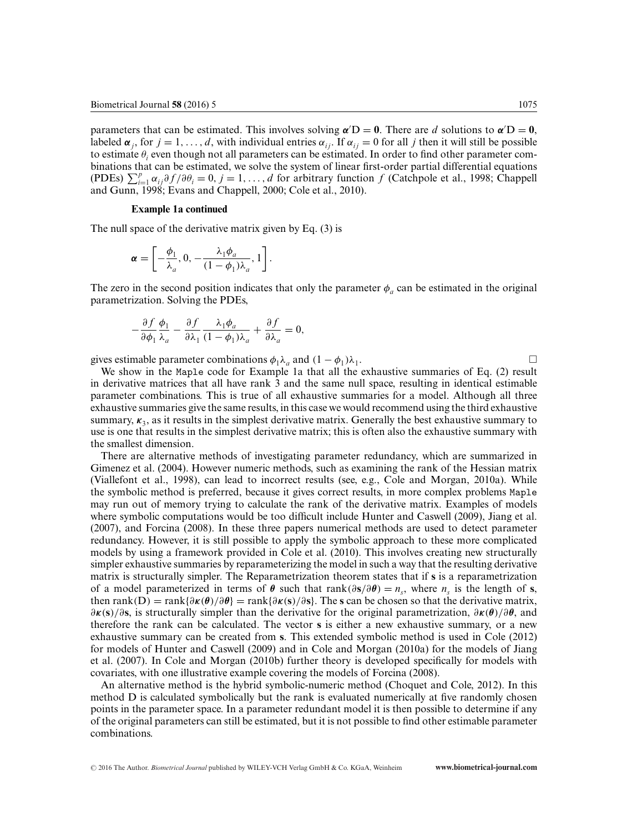parameters that can be estimated. This involves solving  $\alpha'D = 0$ . There are *d* solutions to  $\alpha'D = 0$ , labeled  $\alpha_j$ , for  $j = 1, ..., d$ , with individual entries  $\alpha_{ij}$ . If  $\alpha_{ij} = 0$  for all *j* then it will still be possible to estimate  $\theta_i$  even though not all parameters can be estimated. In order to find other parameter combinations that can be estimated, we solve the system of linear first-order partial differential equations (PDEs)  $\sum_{i=1}^{p}$ *<sup>p</sup>*<sub>i=1</sub> $\alpha_{ij} \partial f / \partial \theta_i = 0$ , *j* = 1, ..., *d* for arbitrary function *f* (Catchpole et al., 1998; Chappell and Gunn,  $\overline{1998}$ ; Evans and Chappell, 2000; Cole et al., 2010).

#### **Example 1a continued**

The null space of the derivative matrix given by Eq. (3) is

$$
\boldsymbol{\alpha} = \left[ -\frac{\phi_1}{\lambda_a}, 0, -\frac{\lambda_1 \phi_a}{(1 - \phi_1)\lambda_a}, 1 \right].
$$

The zero in the second position indicates that only the parameter  $\phi_a$  can be estimated in the original parametrization. Solving the PDEs,

$$
-\frac{\partial f}{\partial \phi_1} \frac{\phi_1}{\lambda_a} - \frac{\partial f}{\partial \lambda_1} \frac{\lambda_1 \phi_a}{(1 - \phi_1)\lambda_a} + \frac{\partial f}{\partial \lambda_a} = 0,
$$

gives estimable parameter combinations  $\phi_1 \lambda_a$  and  $(1 - \phi_1) \lambda_1$ 

We show in the Maple code for Example 1a that all the exhaustive summaries of Eq. (2) result in derivative matrices that all have rank 3 and the same null space, resulting in identical estimable parameter combinations. This is true of all exhaustive summaries for a model. Although all three exhaustive summaries give the same results, in this case we would recommend using the third exhaustive summary,  $\kappa_3$ , as it results in the simplest derivative matrix. Generally the best exhaustive summary to use is one that results in the simplest derivative matrix; this is often also the exhaustive summary with the smallest dimension.

There are alternative methods of investigating parameter redundancy, which are summarized in Gimenez et al. (2004). However numeric methods, such as examining the rank of the Hessian matrix (Viallefont et al., 1998), can lead to incorrect results (see, e.g., Cole and Morgan, 2010a). While the symbolic method is preferred, because it gives correct results, in more complex problems Maple may run out of memory trying to calculate the rank of the derivative matrix. Examples of models where symbolic computations would be too difficult include Hunter and Caswell (2009), Jiang et al. (2007), and Forcina (2008). In these three papers numerical methods are used to detect parameter redundancy. However, it is still possible to apply the symbolic approach to these more complicated models by using a framework provided in Cole et al. (2010). This involves creating new structurally simpler exhaustive summaries by reparameterizing the model in such a way that the resulting derivative matrix is structurally simpler. The Reparametrization theorem states that if **s** is a reparametrization of a model parameterized in terms of  $\theta$  such that rank( $\partial$ **s**/ $\partial$  $\theta$ ) =  $n_s$ , where  $n_s$  is the length of **s**, then rank(D) = rank{ $\partial \kappa(\theta)/\partial \theta$ } = rank{ $\partial \kappa(s)/\partial s$ }. The **s** can be chosen so that the derivative matrix, ∂κ(**s**)/∂**s**, is structurally simpler than the derivative for the original parametrization, ∂κ(θ)/∂θ, and therefore the rank can be calculated. The vector **s** is either a new exhaustive summary, or a new exhaustive summary can be created from **s**. This extended symbolic method is used in Cole (2012) for models of Hunter and Caswell (2009) and in Cole and Morgan (2010a) for the models of Jiang et al. (2007). In Cole and Morgan (2010b) further theory is developed specifically for models with covariates, with one illustrative example covering the models of Forcina (2008).

An alternative method is the hybrid symbolic-numeric method (Choquet and Cole, 2012). In this method D is calculated symbolically but the rank is evaluated numerically at five randomly chosen points in the parameter space. In a parameter redundant model it is then possible to determine if any of the original parameters can still be estimated, but it is not possible to find other estimable parameter combinations.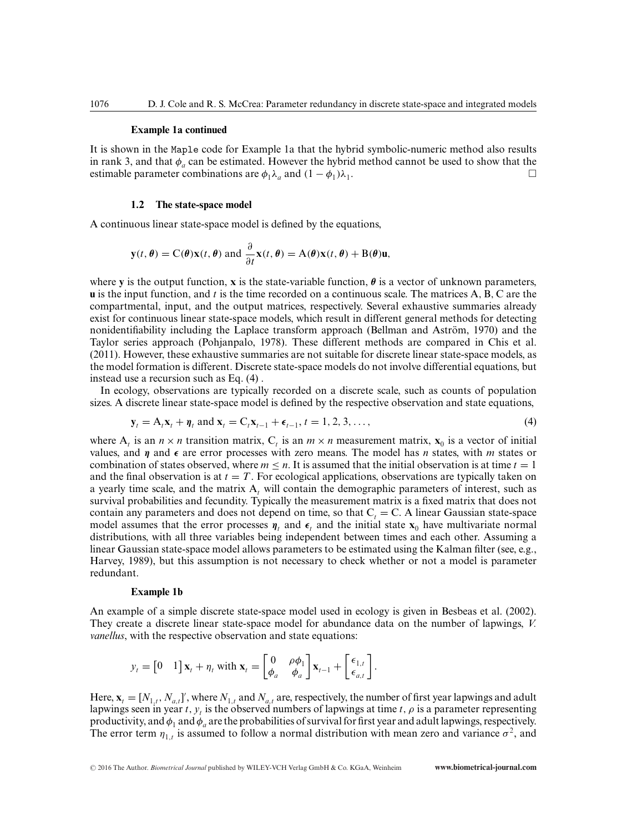#### **Example 1a continued**

It is shown in the Maple code for Example 1a that the hybrid symbolic-numeric method also results in rank 3, and that  $\phi_a$  can be estimated. However the hybrid method cannot be used to show that the estimable parameter combinations are  $\phi_1 \lambda_a$  and  $(1 - \phi_1) \lambda_1$ . The contract of the contract of  $\Box$ 

#### **1.2 The state-space model**

A continuous linear state-space model is defined by the equations,

$$
\mathbf{y}(t, \boldsymbol{\theta}) = \mathbf{C}(\boldsymbol{\theta})\mathbf{x}(t, \boldsymbol{\theta})
$$
 and  $\frac{\partial}{\partial t}\mathbf{x}(t, \boldsymbol{\theta}) = \mathbf{A}(\boldsymbol{\theta})\mathbf{x}(t, \boldsymbol{\theta}) + \mathbf{B}(\boldsymbol{\theta})\mathbf{u}$ ,

where **y** is the output function, **x** is the state-variable function,  $\theta$  is a vector of unknown parameters, **u** is the input function, and *t* is the time recorded on a continuous scale. The matrices A,B, C are the compartmental, input, and the output matrices, respectively. Several exhaustive summaries already exist for continuous linear state-space models, which result in different general methods for detecting nonidentifiability including the Laplace transform approach (Bellman and Aström, 1970) and the Taylor series approach (Pohjanpalo, 1978). These different methods are compared in Chis et al. (2011). However, these exhaustive summaries are not suitable for discrete linear state-space models, as the model formation is different. Discrete state-space models do not involve differential equations, but instead use a recursion such as Eq. (4) .

In ecology, observations are typically recorded on a discrete scale, such as counts of population sizes. A discrete linear state-space model is defined by the respective observation and state equations,

$$
\mathbf{y}_{t} = \mathbf{A}_{t} \mathbf{x}_{t} + \boldsymbol{\eta}_{t} \text{ and } \mathbf{x}_{t} = \mathbf{C}_{t} \mathbf{x}_{t-1} + \boldsymbol{\epsilon}_{t-1}, t = 1, 2, 3, \dots,
$$
\n(4)

where  $A_t$  is an  $n \times n$  transition matrix,  $C_t$  is an  $m \times n$  measurement matrix,  $\mathbf{x}_0$  is a vector of initial values, and  $\eta$  and  $\epsilon$  are error processes with zero means. The model has *n* states, with *m* states or combination of states observed, where  $m < n$ . It is assumed that the initial observation is at time  $t = 1$ and the final observation is at  $t = T$ . For ecological applications, observations are typically taken on a yearly time scale, and the matrix A*<sup>t</sup>* will contain the demographic parameters of interest, such as survival probabilities and fecundity. Typically the measurement matrix is a fixed matrix that does not contain any parameters and does not depend on time, so that  $C<sub>t</sub> = C$ . A linear Gaussian state-space model assumes that the error processes  $\eta_t$  and  $\epsilon_t$  and the initial state  $\mathbf{x}_0$  have multivariate normal distributions, with all three variables being independent between times and each other. Assuming a linear Gaussian state-space model allows parameters to be estimated using the Kalman filter (see, e.g., Harvey, 1989), but this assumption is not necessary to check whether or not a model is parameter redundant.

#### **Example 1b**

An example of a simple discrete state-space model used in ecology is given in Besbeas et al. (2002). They create a discrete linear state-space model for abundance data on the number of lapwings, *V. vanellus*, with the respective observation and state equations:

$$
y_t = \begin{bmatrix} 0 & 1 \end{bmatrix} \mathbf{x}_t + \eta_t \text{ with } \mathbf{x}_t = \begin{bmatrix} 0 & \rho \phi_1 \\ \phi_a & \phi_a \end{bmatrix} \mathbf{x}_{t-1} + \begin{bmatrix} \epsilon_{1,t} \\ \epsilon_{a,t} \end{bmatrix}.
$$

Here,  $\mathbf{x}_t = [N_{1,t}, N_{a,t}]'$ , where  $N_{1,t}$  and  $N_{a,t}$  are, respectively, the number of first year lapwings and adult lapwings seen in year *t*,  $y_t$  is the observed numbers of lapwings at time *t*,  $\rho$  is a parameter representing productivity, and  $\phi_1$  and  $\phi_a$  are the probabilities of survival for first year and adult lapwings, respectively. The error term  $\eta_{1,t}$  is assumed to follow a normal distribution with mean zero and variance  $\sigma^2$ , and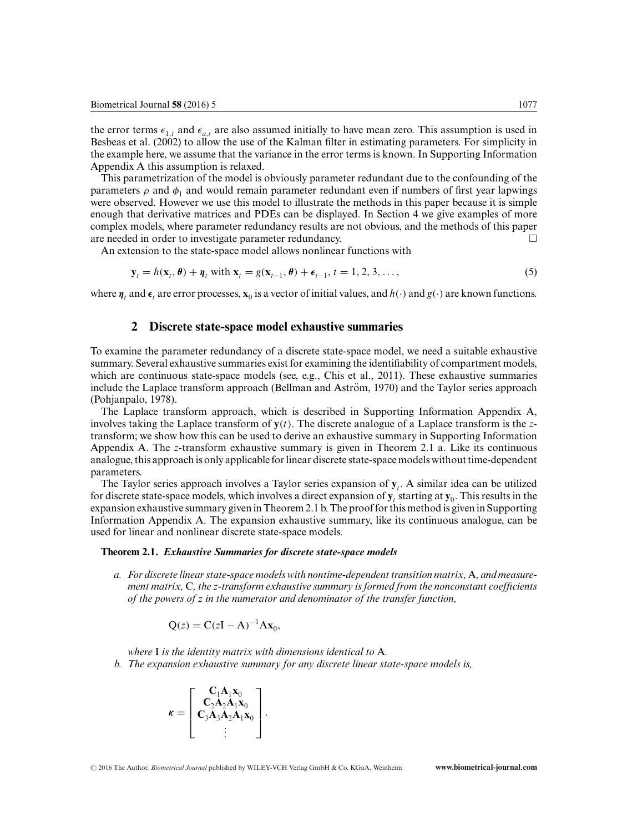the error terms  $\epsilon_{1,t}$  and  $\epsilon_{a,t}$  are also assumed initially to have mean zero. This assumption is used in Besbeas et al. (2002) to allow the use of the Kalman filter in estimating parameters. For simplicity in the example here, we assume that the variance in the error terms is known. In Supporting Information Appendix A this assumption is relaxed.

This parametrization of the model is obviously parameter redundant due to the confounding of the parameters  $\rho$  and  $\phi_1$  and would remain parameter redundant even if numbers of first year lapwings were observed. However we use this model to illustrate the methods in this paper because it is simple enough that derivative matrices and PDEs can be displayed. In Section 4 we give examples of more complex models, where parameter redundancy results are not obvious, and the methods of this paper are needed in order to investigate parameter redundancy.  $\Box$ 

An extension to the state-space model allows nonlinear functions with

$$
\mathbf{y}_t = h(\mathbf{x}_t, \boldsymbol{\theta}) + \boldsymbol{\eta}_t \text{ with } \mathbf{x}_t = g(\mathbf{x}_{t-1}, \boldsymbol{\theta}) + \boldsymbol{\epsilon}_{t-1}, t = 1, 2, 3, \dots,
$$
\n<sup>(5)</sup>

where  $\eta_t$  and  $\epsilon_t$  are error processes,  $\mathbf{x}_0$  is a vector of initial values, and  $h(\cdot)$  and  $g(\cdot)$  are known functions.

#### **2 Discrete state-space model exhaustive summaries**

To examine the parameter redundancy of a discrete state-space model, we need a suitable exhaustive summary. Several exhaustive summaries exist for examining the identifiability of compartment models, which are continuous state-space models (see, e.g., Chis et al., 2011). These exhaustive summaries include the Laplace transform approach (Bellman and Aström, 1970) and the Taylor series approach (Pohjanpalo, 1978).

The Laplace transform approach, which is described in Supporting Information Appendix A, involves taking the Laplace transform of **y**(*t*). The discrete analogue of a Laplace transform is the *z*transform; we show how this can be used to derive an exhaustive summary in Supporting Information Appendix A. The *z*-transform exhaustive summary is given in Theorem 2.1 a. Like its continuous analogue, this approach is only applicable for linear discrete state-space models without time-dependent parameters.

The Taylor series approach involves a Taylor series expansion of **y***<sup>t</sup>* . A similar idea can be utilized for discrete state-space models, which involves a direct expansion of  $\mathbf{y}_t$  starting at  $\mathbf{y}_0$ . This results in the expansion exhaustive summary given in Theorem 2.1 b. The proof for this method is given in Supporting Information Appendix A. The expansion exhaustive summary, like its continuous analogue, can be used for linear and nonlinear discrete state-space models.

#### **Theorem 2.1.** *Exhaustive Summaries for discrete state-space models*

*a. For discrete linear state-space models with nontime-dependent transition matrix,* A*, and measurement matrix,* C*, the z-transform exhaustive summary is formed from the nonconstant coefficients of the powers of z in the numerator and denominator of the transfer function,*

$$
Q(z) = C(zI - A)^{-1}Ax_0,
$$

*where* I *is the identity matrix with dimensions identical to* A*. b. The expansion exhaustive summary for any discrete linear state-space models is,*

$$
\boldsymbol{\kappa} = \left[ \begin{array}{c} \mathbf{C}_1 \mathbf{A}_1 \mathbf{x}_0 \\ \mathbf{C}_2 \mathbf{A}_2 \mathbf{A}_1 \mathbf{x}_0 \\ \mathbf{C}_3 \mathbf{A}_3 \mathbf{A}_2 \mathbf{A}_1 \mathbf{x}_0 \\ \vdots \end{array} \right].
$$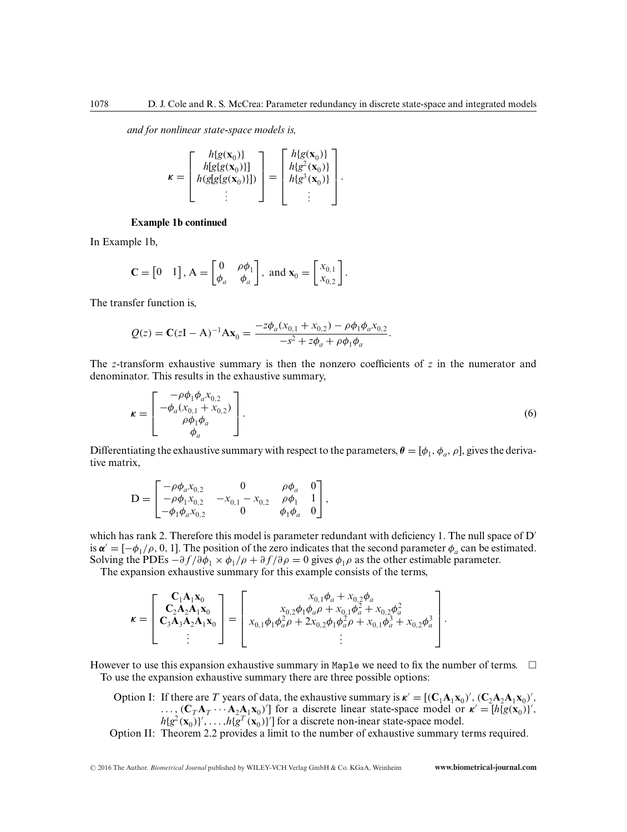*and for nonlinear state-space models is,*

$$
\kappa = \begin{bmatrix} h\{g(\mathbf{x}_0)\} \\ h[g\{g(\mathbf{x}_0)\}] \\ h(g[g\{g(\mathbf{x}_0)\}]) \\ \vdots \end{bmatrix} = \begin{bmatrix} h\{g(\mathbf{x}_0)\} \\ h\{g^2(\mathbf{x}_0)\} \\ h\{g^3(\mathbf{x}_0)\} \\ \vdots \end{bmatrix}.
$$

#### **Example 1b continued**

In Example 1b,

$$
\mathbf{C} = \begin{bmatrix} 0 & 1 \end{bmatrix}, \mathbf{A} = \begin{bmatrix} 0 & \rho \phi_1 \\ \phi_a & \phi_a \end{bmatrix}, \text{ and } \mathbf{x}_0 = \begin{bmatrix} x_{0,1} \\ x_{0,2} \end{bmatrix}.
$$

The transfer function is,

$$
Q(z) = \mathbf{C}(zI - A)^{-1} A \mathbf{x}_0 = \frac{-z\phi_a(x_{0,1} + x_{0,2}) - \rho\phi_1\phi_a x_{0,2}}{-s^2 + z\phi_a + \rho\phi_1\phi_a}
$$

The *z*-transform exhaustive summary is then the nonzero coefficients of  $z$  in the numerator and denominator. This results in the exhaustive summary,

$$
\boldsymbol{\kappa} = \begin{bmatrix} -\rho \phi_1 \phi_a x_{0,2} \\ -\phi_a (x_{0,1} + x_{0,2}) \\ \rho \phi_1 \phi_a \\ \phi_a \end{bmatrix} . \tag{6}
$$

.

Differentiating the exhaustive summary with respect to the parameters,  $\theta = [\phi_1, \phi_a, \rho]$ , gives the derivative matrix,

$$
\mathbf{D} = \begin{bmatrix} -\rho \phi_a x_{0,2} & 0 & \rho \phi_a & 0 \\ -\rho \phi_1 x_{0,2} & -x_{0,1} - x_{0,2} & \rho \phi_1 & 1 \\ -\phi_1 \phi_a x_{0,2} & 0 & \phi_1 \phi_a & 0 \end{bmatrix},
$$

which has rank 2. Therefore this model is parameter redundant with deficiency 1. The null space of D' is  $\alpha' = [-\phi_1/\rho, 0, 1]$ . The position of the zero indicates that the second parameter  $\phi_a$  can be estimated. Solving the PDEs  $-\partial f/\partial \phi_1 \times \phi_1/\rho + \partial f/\partial \rho = 0$  gives  $\phi_1 \rho$  as the other estimable parameter.

The expansion exhaustive summary for this example consists of the terms,

$$
\kappa = \begin{bmatrix} \mathbf{C}_1 \mathbf{A}_1 \mathbf{x}_0 \\ \mathbf{C}_2 \mathbf{A}_2 \mathbf{A}_1 \mathbf{x}_0 \\ \mathbf{C}_3 \mathbf{A}_3 \mathbf{A}_2 \mathbf{A}_1 \mathbf{x}_0 \end{bmatrix} = \begin{bmatrix} x_{0,1} \phi_a + x_{0,2} \phi_a \\ x_{0,2} \phi_1 \phi_a \rho + x_{0,1} \phi_a^2 + x_{0,2} \phi_a^2 \\ x_{0,1} \phi_1 \phi_a^2 \rho + 2x_{0,2} \phi_1 \phi_a^2 \rho + x_{0,1} \phi_a^3 + x_{0,2} \phi_a^3 \\ \vdots \end{bmatrix}.
$$

However to use this expansion exhaustive summary in Maple we need to fix the number of terms.  $\Box$ To use the expansion exhaustive summary there are three possible options:

Option I: If there are *T* years of data, the exhaustive summary is  $\kappa' = [(\mathbf{C}_1 \mathbf{A}_1 \mathbf{x}_0)'$ ,  $(\mathbf{C}_2 \mathbf{A}_2 \mathbf{A}_1 \mathbf{x}_0)'$ ,  $\ldots$ ,  $(\mathbf{C}_T \mathbf{A}_T \cdots \mathbf{A}_2 \mathbf{A}_1 \mathbf{x}_0)'$  for a discrete linear state-space model or  $\kappa' = [h\{g(\mathbf{x}_0)\}'$ ,  $h{g^2(\mathbf{x}_0)}'$ ,..., $h{\bar{g^T(\mathbf{x}_0)}}'$  for a discrete non-inear state-space model.

Option II: Theorem 2.2 provides a limit to the number of exhaustive summary terms required.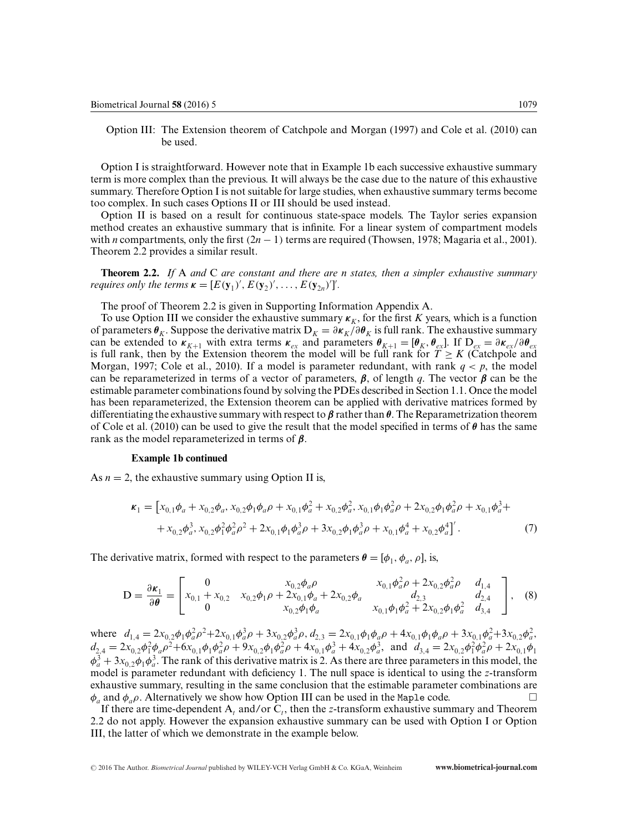Option III: The Extension theorem of Catchpole and Morgan (1997) and Cole et al. (2010) can be used.

Option I is straightforward. However note that in Example 1b each successive exhaustive summary term is more complex than the previous. It will always be the case due to the nature of this exhaustive summary. Therefore Option I is not suitable for large studies, when exhaustive summary terms become too complex. In such cases Options II or III should be used instead.

Option II is based on a result for continuous state-space models. The Taylor series expansion method creates an exhaustive summary that is infinite. For a linear system of compartment models with *n* compartments, only the first (2*n* − 1) terms are required (Thowsen, 1978; Magaria et al., 2001). Theorem 2.2 provides a similar result.

**Theorem 2.2.** *If* A *and* C *are constant and there are n states, then a simpler exhaustive summary requires only the terms*  $\boldsymbol{\kappa} = [E(\mathbf{y}_1)', E(\mathbf{y}_2)', \dots, E(\mathbf{y}_{2n})']$ .

The proof of Theorem 2.2 is given in Supporting Information Appendix A.

To use Option III we consider the exhaustive summary  $\kappa_K$ , for the first K years, which is a function of parameters  $\theta_K$ . Suppose the derivative matrix  $D_K = \partial \kappa_K / \partial \theta_K$  is full rank. The exhaustive summary can be extended to  $\kappa_{K+1}$  with extra terms  $\kappa_{ex}$  and parameters  $\theta_{K+1} = [\theta_K, \theta_{ex}]$ . If  $D_{ex} = \partial \kappa_{ex}/\partial \theta_{ex}$ is full rank, then by the Extension theorem the model will be full rank for  $T \geq K$  (Catchpole and Morgan, 1997; Cole et al., 2010). If a model is parameter redundant, with rank  $q < p$ , the model can be reparameterized in terms of a vector of parameters,  $\beta$ , of length *q*. The vector  $\beta$  can be the estimable parameter combinations found by solving the PDEs described in Section 1.1. Once the model has been reparameterized, the Extension theorem can be applied with derivative matrices formed by differentiating the exhaustive summary with respect to  $\beta$  rather than  $\theta$ . The Reparametrization theorem of Cole et al. (2010) can be used to give the result that the model specified in terms of  $\theta$  has the same rank as the model reparameterized in terms of  $\beta$ .

#### **Example 1b continued**

As  $n = 2$ , the exhaustive summary using Option II is,

$$
\kappa_1 = \left[ x_{0,1} \phi_a + x_{0,2} \phi_a, x_{0,2} \phi_1 \phi_a \rho + x_{0,1} \phi_a^2 + x_{0,2} \phi_a^2, x_{0,1} \phi_1 \phi_a^2 \rho + 2x_{0,2} \phi_1 \phi_a^2 \rho + x_{0,1} \phi_a^3 + x_{0,2} \phi_a^3, x_{0,2} \phi_1^2 \phi_a^2 \rho^2 + 2x_{0,1} \phi_1 \phi_a^3 \rho + 3x_{0,2} \phi_1 \phi_a^3 \rho + x_{0,1} \phi_a^4 + x_{0,2} \phi_a^4 \right]'.
$$
\n(7)

The derivative matrix, formed with respect to the parameters  $\theta = [\phi_1, \phi_a, \rho]$ , is,

$$
\mathbf{D} = \frac{\partial \kappa_1}{\partial \theta} = \begin{bmatrix} 0 & x_{0,2} \phi_a \rho & x_{0,1} \phi_a^2 \rho + 2x_{0,2} \phi_a^2 \rho & d_{1,4} \\ x_{0,1} + x_{0,2} & x_{0,2} \phi_1 \rho + 2x_{0,1} \phi_a + 2x_{0,2} \phi_a & d_{2,3} & d_{2,4} \\ 0 & x_{0,2} \phi_1 \phi_a & x_{0,1} \phi_1 \phi_a^2 + 2x_{0,2} \phi_1 \phi_a^2 & d_{3,4} \end{bmatrix}, \quad (8)
$$

where  $d_{1,4} = 2x_{0,2}\phi_1\phi_a^2\rho^2 + 2x_{0,1}\phi_a^3\rho + 3x_{0,2}\phi_a^3\rho, d_{2,3} = 2x_{0,1}\phi_1\phi_a\rho + 4x_{0,1}\phi_1\phi_a\rho + 3x_{0,1}\phi_a^2 + 3x_{0,2}\phi_a^2,$  $d_{2,4} = 2x_{0,2}\phi_1^2\phi_a\rho^2 + 6x_{0,1}\phi_1\phi_a^2\rho + 9x_{0,2}\phi_1\phi_a^2\rho + 4x_{0,1}\phi_a^3 + 4x_{0,2}\phi_a^3$ , and  $d_{3,4} = 2x_{0,2}\phi_1^2\phi_a^2\rho + 2x_{0,1}\phi_1\phi_a^3\rho + 4x_{0,2}\phi_1\phi_a^3\rho + 4x_{0,2}\phi_1\phi_a^3\rho + 4x_{0,2}\phi_1\phi_a^3\rho + 4x_{0,2}\phi_1\phi_a^3\r$  $\phi_a^3 + 3x_{0,2}\phi_1\phi_a^3$ . The rank of this derivative matrix is 2. As there are three parameters in this model, the model is parameter redundant with deficiency 1. The null space is identical to using the *z*-transform exhaustive summary, resulting in the same conclusion that the estimable parameter combinations are  $\phi_a$  and  $\phi_a$ <sub>*ρ*</sub>. Alternatively we show how Option III can be used in the Maple code.

If there are time-dependent  $A_t$  and/or  $C_t$ , then the *z*-transform exhaustive summary and Theorem 2.2 do not apply. However the expansion exhaustive summary can be used with Option I or Option III, the latter of which we demonstrate in the example below.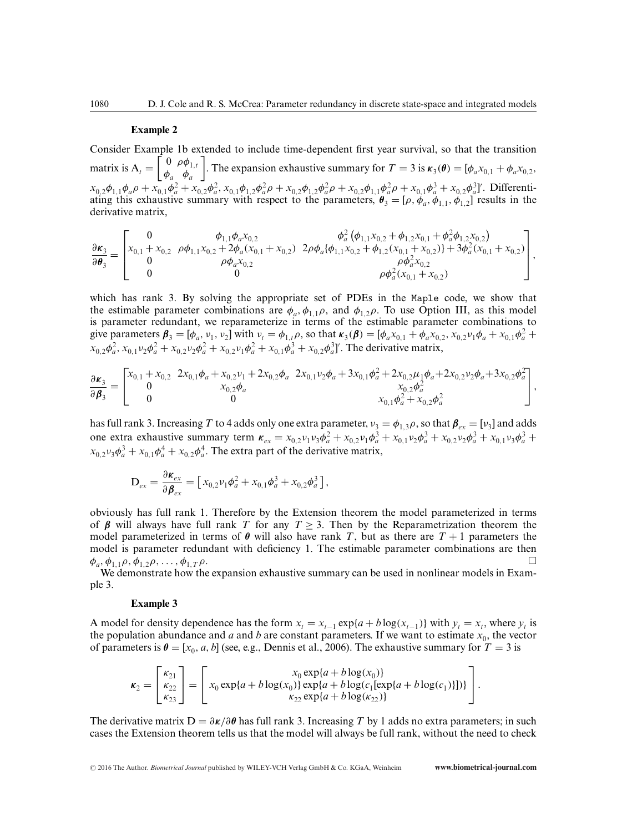#### **Example 2**

Consider Example 1b extended to include time-dependent first year survival, so that the transition matrix is  $A_t = \begin{bmatrix} 0 & \rho \phi_{1,t} \\ \phi & \phi \end{bmatrix}$  $\phi_a$   $\phi_a$ . The expansion exhaustive summary for  $T = 3$  is  $\kappa_3(\theta) = [\phi_a x_{0,1} + \phi_a x_{0,2},$  $x_{0,2}\phi_{1,1}\phi_a\rho + x_{0,1}\phi_a^2 + x_{0,2}\phi_a^2$ ,  $x_{0,1}\phi_{1,2}\phi_a^2\rho + x_{0,2}\phi_{1,2}\phi_a^2\rho + x_{0,2}\phi_{1,1}\phi_a^2\rho + x_{0,1}\phi_a^3 + x_{0,2}\phi_a^3$ . Differentiating this exhaustive summary with respect to the parameters,  $\theta_3 = [\rho, \phi_a, \phi_{1,1}, \phi_{1,2}]$  results in the derivative matrix,

$$
\frac{\partial \kappa_3}{\partial \theta_3} = \begin{bmatrix} 0 & \phi_{1,1} \phi_a x_{0,2} & \phi_a^2 (\phi_{1,1} x_{0,2} + \phi_{1,2} x_{0,1} + \phi_a^2 \phi_{1,2} x_{0,2}) \\ x_{0,1} + x_{0,2} & \rho \phi_{1,1} x_{0,2} + 2 \phi_a (x_{0,1} + x_{0,2}) & 2 \rho \phi_a \{\phi_{1,1} x_{0,2} + \phi_{1,2} (x_{0,1} + x_{0,2})\} + 3 \phi_a^2 (x_{0,1} + x_{0,2}) \\ 0 & \rho \phi_a^2 x_{0,2} & \rho \phi_a^2 x_{0,2} & \rho \phi_a^2 (x_{0,1} + x_{0,2}) \end{bmatrix},
$$

which has rank 3. By solving the appropriate set of PDEs in the Maple code, we show that the estimable parameter combinations are  $\phi_a$ ,  $\phi_{1,1}\rho$ , and  $\phi_{1,2}\rho$ . To use Option III, as this model is parameter redundant, we reparameterize in terms of the estimable parameter combinations to give parameters  $\beta_3 = [\phi_a, v_1, v_2]$  with  $v_t = \phi_{1,t}\rho$ , so that  $\kappa_3(\beta) = [\phi_a x_{0,1} + \phi_a x_{0,2}, x_{0,2}v_1\phi_a + x_{0,1}\phi_a^2 +$  $x_{0,2}\phi_a^2$ ,  $x_{0,1}\psi_2\phi_a^2 + x_{0,2}\psi_2\phi_a^2 + x_{0,2}\psi_1\phi_a^2 + x_{0,1}\phi_a^3 + x_{0,2}\phi_a^3$ ''. The derivative matrix,

$$
\frac{\partial \kappa_3}{\partial \beta_3} = \begin{bmatrix} x_{0,1} + x_{0,2} & 2x_{0,1}\phi_a + x_{0,2}\nu_1 + 2x_{0,2}\phi_a & 2x_{0,1}\nu_2\phi_a + 3x_{0,1}\phi_a^2 + 2x_{0,2}\mu_1\phi_a + 2x_{0,2}\nu_2\phi_a + 3x_{0,2}\phi_a^2\\ 0 & x_{0,2}\phi_a & x_{0,2}\phi_a^2\\ 0 & 0 & x_{0,1}\phi_a^2 + x_{0,2}\phi_a^2 \end{bmatrix},
$$

has full rank 3. Increasing  $T$  to 4 adds only one extra parameter,  $v_3 = \phi_{1,3}\rho$ , so that  $\pmb{\beta}_{ex} = [\nu_3]$  and adds one extra exhaustive summary term  $\kappa_{ex} = x_{0,2}v_1v_3\phi_a^2 + x_{0,2}v_1\phi_a^3 + x_{0,1}v_2\phi_a^3 + x_{0,2}v_2\phi_a^3 + x_{0,1}v_3\phi_a^3 + x_{0,2}v_3\phi_a^3$  $x_{0,2}v_3\phi_a^3 + x_{0,1}\phi_a^4 + x_{0,2}\phi_a^4$ . The extra part of the derivative matrix,

$$
\mathbf{D}_{ex} = \frac{\partial \kappa_{ex}}{\partial \boldsymbol{\beta}_{ex}} = \left[ x_{0,2} v_1 \phi_a^2 + x_{0,1} \phi_a^3 + x_{0,2} \phi_a^3 \right],
$$

obviously has full rank 1. Therefore by the Extension theorem the model parameterized in terms of  $\beta$  will always have full rank *T* for any  $T \geq 3$ . Then by the Reparametrization theorem the model parameterized in terms of  $\theta$  will also have rank *T*, but as there are  $T + 1$  parameters the model is parameter redundant with deficiency 1. The estimable parameter combinations are then  $\phi_a, \phi_{1,1}\rho, \phi_{1,2}\rho, \ldots, \phi_{1,T}\rho.$ 

We demonstrate how the expansion exhaustive summary can be used in nonlinear models in Example 3.

#### **Example 3**

A model for density dependence has the form  $x_t = x_{t-1} \exp\{a + b \log(x_{t-1})\}$  with  $y_t = x_t$ , where  $y_t$  is the population abundance and  $a$  and  $b$  are constant parameters. If we want to estimate  $x_0$ , the vector of parameters is  $\theta = [x_0, a, b]$  (see, e.g., Dennis et al., 2006). The exhaustive summary for  $T = 3$  is

$$
\kappa_2 = \begin{bmatrix} \kappa_{21} \\ \kappa_{22} \\ \kappa_{23} \end{bmatrix} = \begin{bmatrix} x_0 \exp\{a + b \log(x_0)\} \\ x_0 \exp\{a + b \log(x_0)\} \exp\{a + b \log(c_1[\exp\{a + b \log(c_1)\}])\} \\ \kappa_{22} \exp\{a + b \log(\kappa_{22})\} \end{bmatrix}.
$$

The derivative matrix  $D = \partial \kappa / \partial \theta$  has full rank 3. Increasing *T* by 1 adds no extra parameters; in such cases the Extension theorem tells us that the model will always be full rank, without the need to check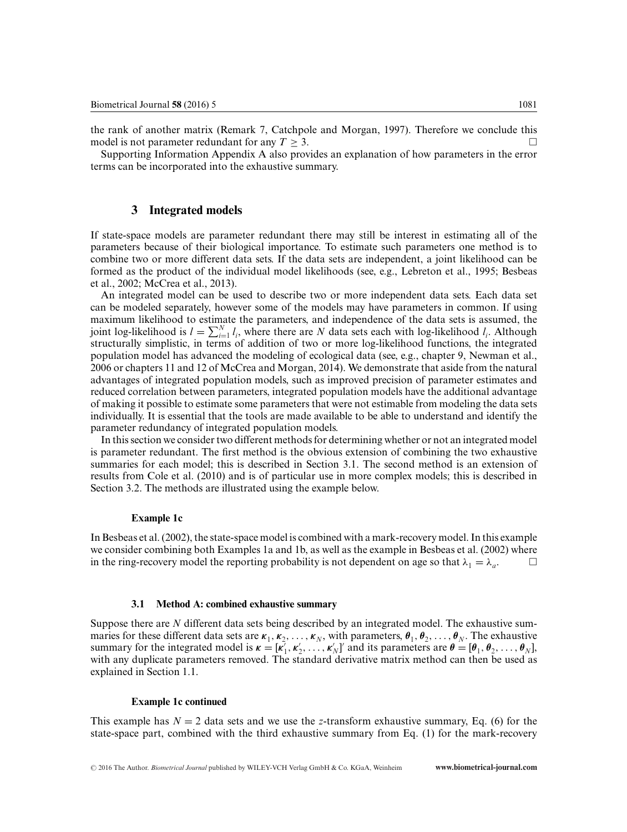the rank of another matrix (Remark 7, Catchpole and Morgan, 1997). Therefore we conclude this model is not parameter redundant for any  $T \geq 3$ .

Supporting Information Appendix A also provides an explanation of how parameters in the error terms can be incorporated into the exhaustive summary.

#### **3 Integrated models**

If state-space models are parameter redundant there may still be interest in estimating all of the parameters because of their biological importance. To estimate such parameters one method is to combine two or more different data sets. If the data sets are independent, a joint likelihood can be formed as the product of the individual model likelihoods (see, e.g., Lebreton et al., 1995; Besbeas et al., 2002; McCrea et al., 2013).

An integrated model can be used to describe two or more independent data sets. Each data set can be modeled separately, however some of the models may have parameters in common. If using maximum likelihood to estimate the parameters, and independence of the data sets is assumed, the joint log-likelihood is  $l = \sum_{i=1}^{N} l_i$ , where there are *N* data sets each with log-likelihood  $l_i$ . Although structurally simplistic, in terms of addition of two or more log-likelihood functions, the integrated population model has advanced the modeling of ecological data (see, e.g., chapter 9, Newman et al., 2006 or chapters 11 and 12 of McCrea and Morgan, 2014). We demonstrate that aside from the natural advantages of integrated population models, such as improved precision of parameter estimates and reduced correlation between parameters, integrated population models have the additional advantage of making it possible to estimate some parameters that were not estimable from modeling the data sets individually. It is essential that the tools are made available to be able to understand and identify the parameter redundancy of integrated population models.

In this section we consider two different methods for determining whether or not an integrated model is parameter redundant. The first method is the obvious extension of combining the two exhaustive summaries for each model; this is described in Section 3.1. The second method is an extension of results from Cole et al. (2010) and is of particular use in more complex models; this is described in Section 3.2. The methods are illustrated using the example below.

#### **Example 1c**

In Besbeas et al. (2002), the state-space model is combined with a mark-recovery model. In this example we consider combining both Examples 1a and 1b, as well as the example in Besbeas et al. (2002) where in the ring-recovery model the reporting probability is not dependent on age so that  $\lambda_1 = \lambda_a$ . .  $\Box$ 

#### **3.1 Method A: combined exhaustive summary**

Suppose there are *N* different data sets being described by an integrated model. The exhaustive summaries for these different data sets are  $\kappa_1, \kappa_2, \ldots, \kappa_N$ , with parameters,  $\theta_1, \theta_2, \ldots, \theta_N$ . The exhaustive summary for the integrated model is  $\boldsymbol{\kappa} = [\kappa'_1, \kappa'_2, \dots, \kappa'_N]^T$  and its parameters are  $\boldsymbol{\theta} = [\theta_1, \theta_2, \dots, \theta_N]$ , with any duplicate parameters removed. The standard derivative matrix method can then be used as explained in Section 1.1.

#### **Example 1c continued**

This example has  $N = 2$  data sets and we use the *z*-transform exhaustive summary, Eq. (6) for the state-space part, combined with the third exhaustive summary from Eq. (1) for the mark-recovery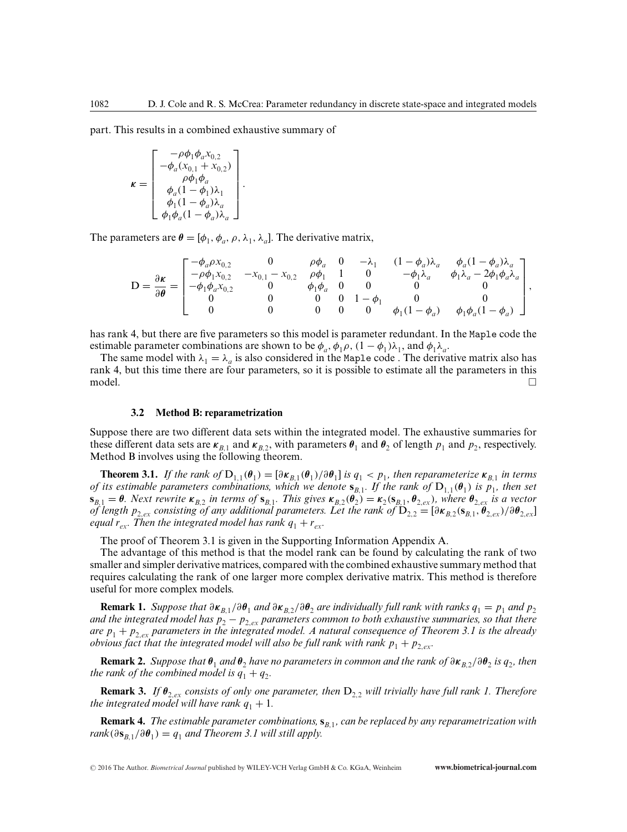part. This results in a combined exhaustive summary of

$$
\kappa = \begin{bmatrix} -\rho \phi_1 \phi_a x_{0,2} \\ -\phi_a (x_{0,1} + x_{0,2}) \\ \rho \phi_1 \phi_a \\ \phi_a (1 - \phi_1) \lambda_1 \\ \phi_1 (1 - \phi_a) \lambda_a \\ \phi_1 \phi_a (1 - \phi_a) \lambda_a \end{bmatrix}.
$$

The parameters are  $\boldsymbol{\theta} = [\phi_1, \phi_a, \rho, \lambda_1, \lambda_a]$ . The derivative matrix,

$$
\mathbf{D} = \frac{\partial \kappa}{\partial \theta} = \begin{bmatrix} -\phi_a \rho x_{0,2} & 0 & \rho \phi_a & 0 & -\lambda_1 & (1 - \phi_a) \lambda_a & \phi_a (1 - \phi_a) \lambda_a \\ -\rho \phi_1 x_{0,2} & -x_{0,1} - x_{0,2} & \rho \phi_1 & 1 & 0 & -\phi_1 \lambda_a & \phi_1 \lambda_a - 2\phi_1 \phi_a \lambda_a \\ -\phi_1 \phi_a x_{0,2} & 0 & \phi_1 \phi_a & 0 & 0 & 0 & 0 \\ 0 & 0 & 0 & 0 & 1 - \phi_1 & 0 & 0 \\ 0 & 0 & 0 & 0 & \phi_1 (1 - \phi_a) & \phi_1 \phi_a (1 - \phi_a) \end{bmatrix},
$$

has rank 4, but there are five parameters so this model is parameter redundant. In the Maple code the estimable parameter combinations are shown to be  $\phi_a$ ,  $\phi_1 \rho$ ,  $(1 - \phi_1)\lambda_1$ , and  $\phi_1 \lambda_a$ .

The same model with  $\lambda_1 = \lambda_a$  is also considered in the Maple code. The derivative matrix also has rank 4, but this time there are four parameters, so it is possible to estimate all the parameters in this  $model.$ 

#### **3.2 Method B: reparametrization**

Suppose there are two different data sets within the integrated model. The exhaustive summaries for these different data sets are  $\kappa_{B,1}$  and  $\kappa_{B,2}$ , with parameters  $\theta_1$  and  $\theta_2$  of length  $p_1$  and  $p_2$ , respectively. Method B involves using the following theorem.

**Theorem 3.1.** If the rank of  $D_{1,1}(\theta_1) = [\partial \kappa_{B,1}(\theta_1)/\partial \theta_1]$  is  $q_1 < p_1$ , then reparameterize  $\kappa_{B,1}$  in terms *of its estimable parameters combinations, which we denote*  $\mathbf{s}_{B,1}$ *. If the rank of*  $D_{1,1}(\theta_1)$  *is*  $p_1$ *, then set*  $\mathbf{s}_{B,1} = \boldsymbol{\theta}$ . Next rewrite  $\kappa_{B,2}$  in terms of  $\mathbf{s}_{B,1}$ . This gives  $\kappa_{B,2}(\theta_2) = \kappa_2(\mathbf{s}_{B,1}, \theta_{2,ex})$ , where  $\theta_{2,ex}$  is a vector *of length*  $p_{2,ex}$  *consisting of any additional parameters. Let the rank of*  $D_{2,2} = [\partial \kappa_{B,2}(\mathbf{s}_{B,1},\pmb{\theta}_{2,ex})/\partial \pmb{\theta}_{2,ex}]$ *equal r<sub>ex</sub></sub>. Then the integrated model has rank*  $q_1 + r_{ex}$ *.* 

The proof of Theorem 3.1 is given in the Supporting Information Appendix A.

The advantage of this method is that the model rank can be found by calculating the rank of two smaller and simpler derivative matrices, compared with the combined exhaustive summary method that requires calculating the rank of one larger more complex derivative matrix. This method is therefore useful for more complex models.

**Remark 1.** Suppose that  $\partial \kappa_{B,1}/\partial \theta_1$  and  $\partial \kappa_{B,2}/\partial \theta_2$  are individually full rank with ranks  $q_1 = p_1$  and  $p_2$ *and the integrated model has*  $p_2 - p_{2,ex}$  *parameters common to both exhaustive summaries, so that there are*  $p_1 + p_2$ <sub>ex</sub> parameters in the integrated model. A natural consequence of Theorem 3.1 is the already *obvious fact that the integrated model will also be full rank with rank*  $p_1 + p_2$ *<sub><i>ex*</sub>.

 $R$ emark 2. *Suppose that*  $\theta_1$  and  $\theta_2$  have no parameters in common and the rank of  $\partial \kappa_{B,2}/\partial \theta_2$  is  $q_2$ , then *the rank of the combined model is*  $q_1 + q_2$ .

**Remark 3.** *If*  $\theta_{2,ex}$  *consists of only one parameter, then*  $D_{2,2}$  *will trivially have full rank 1. Therefore the integrated model will have rank*  $q_1 + 1$ *.* 

**Remark 4.** *The estimable parameter combinations,* **s***<sup>B</sup>*,<sup>1</sup> *, can be replaced by any reparametrization with*  $rank(\partial \mathbf{s}_{B,1}/\partial \boldsymbol{\theta}_1) = q_1$  and Theorem 3.1 will still apply.

<sup>C</sup> 2016 The Author. *Biometrical Journal* published by WILEY-VCH Verlag GmbH & Co. KGaA, Weinheim **www.biometrical-journal.com**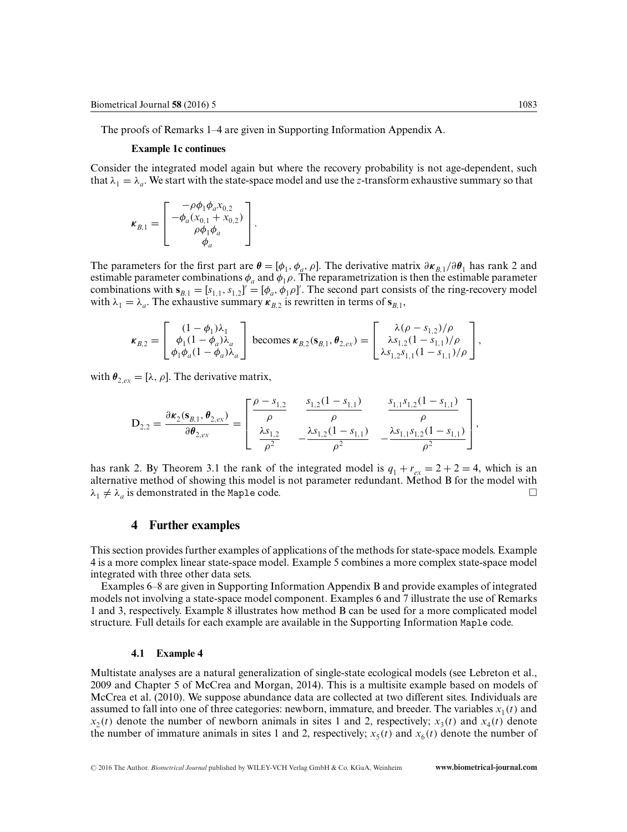The proofs of Remarks 1–4 are given in Supporting Information Appendix A.

#### **Example 1c continues**

Consider the integrated model again but where the recovery probability is not age-dependent, such that  $\lambda_1 = \lambda_a$ . We start with the state-space model and use the *z*-transform exhaustive summary so that

$$
\boldsymbol{\kappa}_{B,1} = \begin{bmatrix} -\rho \phi_1 \phi_a x_{0,2} \\ -\phi_a (x_{0,1} + x_{0,2}) \\ \rho \phi_1 \phi_a \\ \phi_a \end{bmatrix}.
$$

The parameters for the first part are  $\theta = [\phi_1, \phi_a, \rho]$ . The derivative matrix  $\partial \kappa_{B,1}/\partial \theta_1$  has rank 2 and estimable parameter combinations  $\phi_a$  and  $\phi_1 \rho$ . The reparametrization is then the estimable parameter combinations with  $\mathbf{s}_{B,1} = [s_{1,1}, s_{1,2}]^{T} = [\phi_a, \phi_1 \rho]^{T}$ . The second part consists of the ring-recovery model with  $\lambda_1 = \lambda_a$ . The exhaustive summary  $\kappa_{B,2}$  is rewritten in terms of  $\mathbf{s}_{B,1}$ ,

$$
\kappa_{B,2} = \begin{bmatrix} (1 - \phi_1)\lambda_1 \\ \phi_1(1 - \phi_a)\lambda_a \\ \phi_1\phi_a(1 - \phi_a)\lambda_a \end{bmatrix} \text{ becomes } \kappa_{B,2}(\mathbf{s}_{B,1}, \theta_{2,ex}) = \begin{bmatrix} \lambda(\rho - s_{1,2})/\rho \\ \lambda s_{1,2}(1 - s_{1,1})/\rho \\ \lambda s_{1,2} s_{1,1}(1 - s_{1,1})/\rho \end{bmatrix},
$$

with  $\theta_{2,ex} = [\lambda, \rho]$ . The derivative matrix,

$$
D_{2,2} = \frac{\partial \kappa_2(s_{B,1}, \theta_{2,ex})}{\partial \theta_{2,ex}} = \begin{bmatrix} \frac{\rho - s_{1,2}}{\rho} & \frac{s_{1,2}(1 - s_{1,1})}{\rho} & \frac{s_{1,1}s_{1,2}(1 - s_{1,1})}{\rho} \\ \frac{\lambda s_{1,2}}{\rho^2} & -\frac{\lambda s_{1,2}(1 - s_{1,1})}{\rho^2} & -\frac{\lambda s_{1,1}s_{1,2}(1 - s_{1,1})}{\rho^2} \end{bmatrix},
$$

has rank 2. By Theorem 3.1 the rank of the integrated model is  $q_1 + r_{ex} = 2 + 2 = 4$ , which is an alternative method of showing this model is not parameter redundant. Method B for the model with  $\lambda_1 \neq \lambda_a$  is demonstrated in the Maple code.

#### **4 Further examples**

This section provides further examples of applications of the methods for state-space models. Example 4 is a more complex linear state-space model. Example 5 combines a more complex state-space model integrated with three other data sets.

Examples 6–8 are given in Supporting Information Appendix B and provide examples of integrated models not involving a state-space model component. Examples 6 and 7 illustrate the use of Remarks 1 and 3, respectively. Example 8 illustrates how method B can be used for a more complicated model structure. Full details for each example are available in the Supporting Information Maple code.

#### **4.1 Example 4**

Multistate analyses are a natural generalization of single-state ecological models (see Lebreton et al., 2009 and Chapter 5 of McCrea and Morgan, 2014). This is a multisite example based on models of McCrea et al. (2010). We suppose abundance data are collected at two different sites. Individuals are assumed to fall into one of three categories: newborn, immature, and breeder. The variables  $x_1(t)$  and  $x_2(t)$  denote the number of newborn animals in sites 1 and 2, respectively;  $x_3(t)$  and  $x_4(t)$  denote the number of immature animals in sites 1 and 2, respectively;  $x_5(t)$  and  $x_6(t)$  denote the number of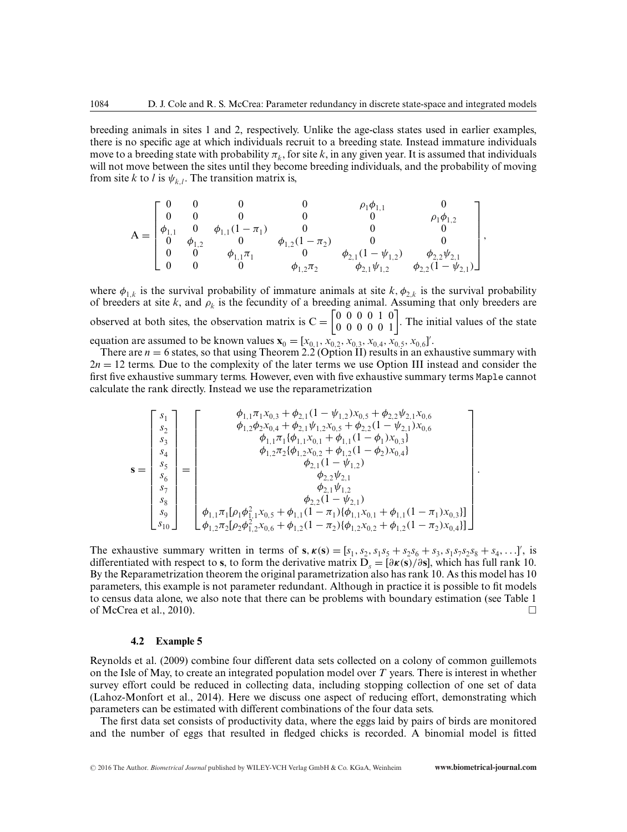breeding animals in sites 1 and 2, respectively. Unlike the age-class states used in earlier examples, there is no specific age at which individuals recruit to a breeding state. Instead immature individuals move to a breeding state with probability  $\pi_k$ , for site  $k$ , in any given year. It is assumed that individuals will not move between the sites until they become breeding individuals, and the probability of moving from site *k* to *l* is  $\psi_{k,l}$ . The transition matrix is,

$$
A = \begin{bmatrix} 0 & 0 & 0 & 0 & \rho_1 \phi_{1,1} & 0 \\ 0 & 0 & 0 & 0 & 0 & \rho_1 \phi_{1,2} \\ \phi_{1,1} & 0 & \phi_{1,1} (1 - \pi_1) & 0 & 0 & 0 \\ 0 & \phi_{1,2} & 0 & \phi_{1,2} (1 - \pi_2) & 0 & 0 \\ 0 & 0 & \phi_{1,1} \pi_1 & 0 & \phi_{2,1} (1 - \psi_{1,2}) & \phi_{2,2} \psi_{2,1} \\ 0 & 0 & 0 & \phi_{1,2} \pi_2 & \phi_{2,1} \psi_{1,2} & \phi_{2,2} (1 - \psi_{2,1}) \end{bmatrix},
$$

where  $\phi_{1,k}$  is the survival probability of immature animals at site  $k, \phi_{2,k}$  is the survival probability of breeders at site *k*, and  $\rho_k$  is the fecundity of a breeding animal. Assuming that only breeders are observed at both sites, the observation matrix is  $C = \begin{bmatrix} 0 & 0 & 0 & 1 & 0 \\ 0 & 0 & 0 & 0 & 1 \end{bmatrix}$ . The initial values of the state equation are assumed to be known values  $\mathbf{x}_0 = [x_{0,1}, x_{0,2}, x_{0,3}, x_{0,4}, x_{0,5}, x_{0,6}]'$ .

There are  $n = 6$  states, so that using Theorem 2.2 (Option II) results in an exhaustive summary with  $2n = 12$  terms. Due to the complexity of the later terms we use Option III instead and consider the first five exhaustive summary terms. However, even with five exhaustive summary terms Maple cannot calculate the rank directly. Instead we use the reparametrization

$$
\mathbf{s} = \begin{bmatrix} s_1 \\ s_2 \\ s_2 \\ s_3 \\ s_4 \\ s_5 \\ s_6 \\ s_7 \\ s_8 \\ s_9 \\ s_{10} \end{bmatrix} = \begin{bmatrix} \phi_{1,1}\pi_1 x_{0,3} + \phi_{2,1}(1 - \psi_{1,2})x_{0,5} + \phi_{2,2}\psi_{2,1}x_{0,6} \\ \phi_{1,2}\phi_2 x_{0,4} + \phi_{2,1}\psi_{1,2}x_{0,5} + \phi_{2,2}(1 - \psi_{2,1})x_{0,6} \\ \phi_{1,1}\pi_1 \{\phi_{1,1}x_{0,1} + \phi_{1,1}(1 - \phi_{1})x_{0,3}\} \\ \phi_{1,2}\pi_2 \{\phi_{1,2}x_{0,2} + \phi_{1,2}(1 - \phi_{2})x_{0,4}\} \\ \phi_{2,1}\Psi_{1,2} \\ \phi_{2,2}\Psi_{2,1} \\ \phi_{2,1}\Psi_{1,2} \\ \phi_{3,0} \end{bmatrix}.
$$

The exhaustive summary written in terms of **s**,  $\kappa(s) = [s_1, s_2, s_1s_5 + s_2s_6 + s_3, s_1s_7s_2s_8 + s_4, \ldots]$ , is differentiated with respect to **s**, to form the derivative matrix  $\overline{D}_s = [\partial \kappa(s)/\partial s]$ , which has full rank 10. By the Reparametrization theorem the original parametrization also has rank 10. As this model has 10 parameters, this example is not parameter redundant. Although in practice it is possible to fit models to census data alone, we also note that there can be problems with boundary estimation (see Table 1 of McCrea et al., 2010).  $\Box$ 

#### **4.2 Example 5**

Reynolds et al. (2009) combine four different data sets collected on a colony of common guillemots on the Isle of May, to create an integrated population model over *T* years. There is interest in whether survey effort could be reduced in collecting data, including stopping collection of one set of data (Lahoz-Monfort et al., 2014). Here we discuss one aspect of reducing effort, demonstrating which parameters can be estimated with different combinations of the four data sets.

The first data set consists of productivity data, where the eggs laid by pairs of birds are monitored and the number of eggs that resulted in fledged chicks is recorded. A binomial model is fitted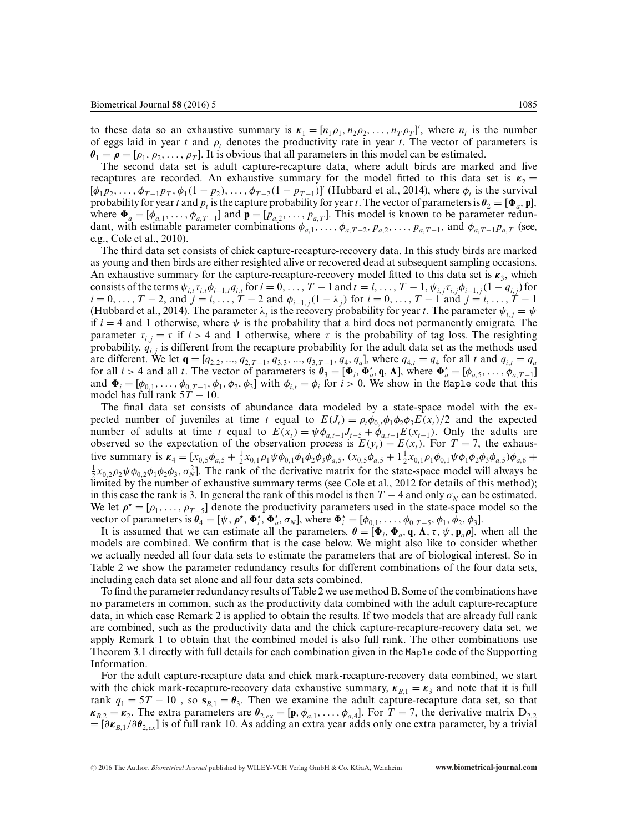to these data so an exhaustive summary is  $\kappa_1 = [n_1 \rho_1, n_2 \rho_2, \dots, n_T \rho_T]^T$ , where  $n_t$  is the number of eggs laid in year *t* and  $\rho_t$  denotes the productivity rate in year *t*. The vector of parameters is  $\theta_1 = \rho = [\rho_1, \rho_2, \dots, \rho_T]$ . It is obvious that all parameters in this model can be estimated.

The second data set is adult capture-recapture data, where adult birds are marked and live recaptures are recorded. An exhaustive summary for the model fitted to this data set is  $\kappa_2$  =  $[\phi_1 p_2, \ldots, \phi_{T-1} p_T, \phi_1 (1 - p_2), \ldots, \phi_{T-2} (1 - p_{T-1})]'$  (Hubbard et al., 2014), where  $\phi_t$  is the survival probability for year *t* and  $p_t$  is the capture probability for year *t*. The vector of parameters is  $\theta_2 = [\Phi_a, \mathbf{p}]$ , where  $\Phi_a = [\phi_{a,1}, \dots, \phi_{a,T-1}]$  and  $\mathbf{p} = [p_{a,2}, \dots, p_{a,T}]$ . This model is known to be parameter redundant, with estimable parameter combinations  $\phi_{a,1}, \ldots, \phi_{a,T-2}, p_{a,2}, \ldots, p_{a,T-1}$ , and  $\phi_{a,T-1}p_{a,T}$  (see, e.g., Cole et al., 2010).

The third data set consists of chick capture-recapture-recovery data. In this study birds are marked as young and then birds are either resighted alive or recovered dead at subsequent sampling occasions. An exhaustive summary for the capture-recapture-recovery model fitted to this data set is  $\kappa_3$ , which consists of the terms  $\psi_{i,t}\tau_{i,t}\phi_{i-1,t}q_{i,t}$  for  $i=0,\ldots,T-1$  and  $t=i,\ldots,T-1,$   $\psi_{i,j}\tau_{i,j}\phi_{i-1,j}(1-q_{i,j})$  for *i* = 0,..., *T* − 2, and *j* = *i*,..., *T* − 2 and  $\phi_{i-1,j}(1 - \lambda_j)$  for *i* = 0,..., *T* − 1 and *j* = *i*,..., *T* − 1 (Hubbard et al., 2014). The parameter  $\lambda_t$  is the recovery probability for year t. The parameter  $\psi_{i,j} = \psi$ if  $i = 4$  and 1 otherwise, where  $\psi$  is the probability that a bird does not permanently emigrate. The parameter  $\tau_{i}$ ,  $=\tau$  if  $i > 4$  and 1 otherwise, where  $\tau$  is the probability of tag loss. The resighting probability, *q<sup>i</sup>*,*<sup>j</sup>* is different from the recapture probability for the adult data set as the methods used are different. We let  $\mathbf{q} = [q_{2,2},..., q_{2,T-1}, q_{3,3},..., q_{3,T-1}, q_4, q_a]$ , where  $q_{4,t} = q_4$  for all t and  $q_{i,t} = q_a$ for all *i* > 4 and all *t*. The vector of parameters is  $\theta_3 = [\Phi_i, \Phi_a^*, \mathbf{q}, \mathbf{\Lambda}]$ , where  $\Phi_a^* = [\phi_{a,5}, \dots, \phi_{a,T-1}]$ and  $\Phi_i = [\phi_{0,1}, \dots, \phi_{0,T-1}, \phi_1, \phi_2, \phi_3]$  with  $\phi_{i,t} = \phi_i$  for  $i > 0$ . We show in the Maple code that this model has full rank  $5T - 10$ .

The final data set consists of abundance data modeled by a state-space model with the expected number of juveniles at time *t* equal to  $E(J_t) = \rho_t \phi_{0,t} \phi_1 \phi_2 \phi_3 E(x_t) / 2$  and the expected number of adults at time *t* equal to  $E(x_t) = \psi \phi_{a,t-1} J_{t-5} + \phi_{a,t-1} E(x_{t-1})$ . Only the adults are observed so the expectation of the observation process is  $E(y_t) = E(x_t)$ . For  $T = 7$ , the exhaustive summary is  $\kappa_4 = [x_{0,5}\phi_{a,5} + \frac{1}{2}x_{0,1}\rho_1\psi\phi_{0,1}\phi_1\phi_2\phi_3\phi_{a,5}, (x_{0,5}\phi_{a,5} + 1\frac{1}{2}x_{0,1}\rho_1\phi_{0,1}\psi\phi_1\phi_2\phi_3\phi_{a,5})\phi_{a,6} +$  $\frac{1}{2}x_{0,2}\rho_2\psi\phi_{0,2}\phi_1\phi_2\phi_3$ ,  $\sigma_N^2$ . The rank of the derivative matrix for the state-space model will always be limited by the number of exhaustive summary terms (see Cole et al., 2012 for details of this method); in this case the rank is 3. In general the rank of this model is then  $T-4$  and only  $\sigma_N$  can be estimated. We let  $\rho^* = [\rho_1, \ldots, \rho_{T-5}]$  denote the productivity parameters used in the state-space model so the vector of parameters is  $\theta_4 = [\psi, \rho^*, \Phi_i^*, \Phi_a^*, \sigma_N]$ , where  $\Phi_i^* = [\phi_{0,1}, \dots, \phi_{0,T-5}, \phi_1, \phi_2, \phi_3]$ .

It is assumed that we can estimate all the parameters,  $\theta = [\Phi_i, \Phi_a, \mathbf{q}, \mathbf{\Lambda}, \tau, \psi, \mathbf{p}_a \rho]$ , when all the models are combined. We confirm that is the case below. We might also like to consider whether we actually needed all four data sets to estimate the parameters that are of biological interest. So in Table 2 we show the parameter redundancy results for different combinations of the four data sets, including each data set alone and all four data sets combined.

To find the parameter redundancy results of Table 2 we use method B. Some of the combinations have no parameters in common, such as the productivity data combined with the adult capture-recapture data, in which case Remark 2 is applied to obtain the results. If two models that are already full rank are combined, such as the productivity data and the chick capture-recapture-recovery data set, we apply Remark 1 to obtain that the combined model is also full rank. The other combinations use Theorem 3.1 directly with full details for each combination given in the Maple code of the Supporting Information.

For the adult capture-recapture data and chick mark-recapture-recovery data combined, we start with the chick mark-recapture-recovery data exhaustive summary,  $\kappa_{B,1} = \kappa_3$  and note that it is full rank  $q_1 = 5T - 10$ , so  $\mathbf{s}_{B,1} = \theta_3$ . Then we examine the adult capture-recapture data set, so that  $\kappa_{B,2} = \kappa_2$ . The extra parameters are  $\theta_{2,ex} = [\mathbf{p}, \phi_{a,1}, \dots, \phi_{a,4}]$ . For  $T = 7$ , the derivative matrix  $D_{2,2}$ = [∂κ*<sup>B</sup>*,<sup>1</sup> /∂θ<sup>2</sup>,*ex*] is of full rank 10. As adding an extra year adds only one extra parameter, by a trivial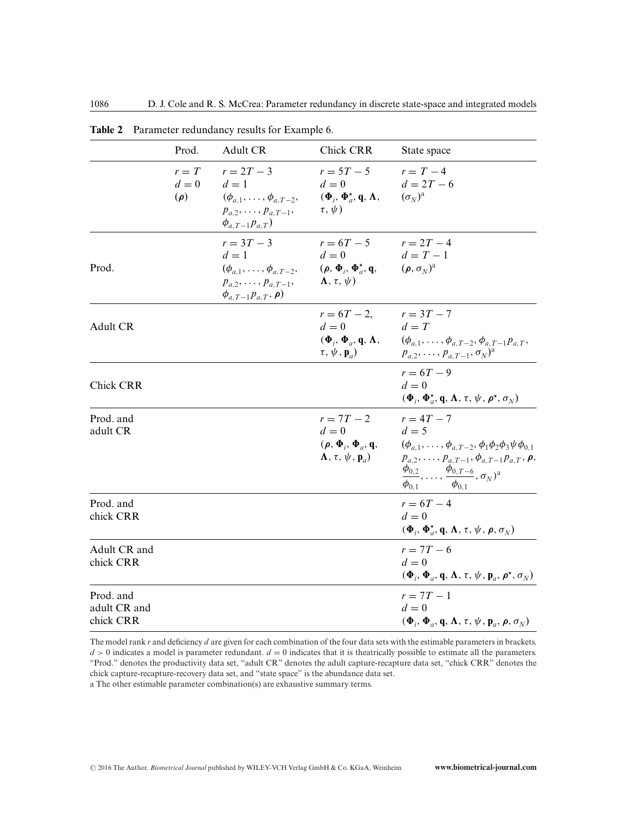|                                        | Prod.                        | <b>Adult CR</b>                                                                                                               | Chick CRR                                                                                                                                              | State space                                                                                                                                                                                                                                                                                 |
|----------------------------------------|------------------------------|-------------------------------------------------------------------------------------------------------------------------------|--------------------------------------------------------------------------------------------------------------------------------------------------------|---------------------------------------------------------------------------------------------------------------------------------------------------------------------------------------------------------------------------------------------------------------------------------------------|
|                                        | $r = T$<br>$d=0$<br>$(\rho)$ | $r = 2T - 3$<br>$d=1$<br>$(\phi_{a,1}, \ldots, \phi_{a,T-2},$<br>$p_{a,2}, \ldots, p_{a,T-1},$<br>$\phi_{a,T-1}p_{a,T}$       | $r = 5T - 5$<br>$d=0$<br>$(\Phi_i, \Phi_a^{\star}, \mathbf{q}, \Lambda,$<br>$\tau, \psi$                                                               | $r = T - 4$<br>$d = 2T - 6$<br>$(\sigma_N)^a$                                                                                                                                                                                                                                               |
| Prod.                                  |                              | $r = 3T - 3$<br>$d=1$<br>$(\phi_{a,1}, \ldots, \phi_{a,T-2},$<br>$p_{a,2}, \ldots, p_{a,T-1},$<br>$\phi_{a,T-1}p_{a,T},\rho)$ | $r = 6T - 5$<br>$d=0$<br>$(\boldsymbol{\rho}, \boldsymbol{\Phi}_i, \boldsymbol{\Phi}_a^{\star}, \mathbf{q},$<br>$\Lambda, \tau, \psi)$                 | $r = 2T - 4$<br>$d = T - 1$<br>$(\boldsymbol{\rho}, \sigma_N)^a$                                                                                                                                                                                                                            |
| Adult CR                               |                              |                                                                                                                               | $r = 6T - 2$ ,<br>$d=0$<br>$(\boldsymbol{\Phi}_i, \boldsymbol{\Phi}_a, \mathbf{q}, \boldsymbol{\Lambda},$<br>$\tau, \psi, \mathbf{p}_a$                | $r = 3T - 7$<br>$d = T$<br>$(\phi_{a,1}, \ldots, \phi_{a,T-2}, \phi_{a,T-1} p_{a,T},$<br>$p_{a,2}, \ldots, p_{a,T-1}, \sigma_N)^a$                                                                                                                                                          |
| Chick CRR                              |                              |                                                                                                                               |                                                                                                                                                        | $r = 6T - 9$<br>$d=0$<br>$(\Phi_i, \Phi_\alpha^\star, \mathbf{q}, \mathbf{\Lambda}, \tau, \psi, \boldsymbol{\rho}^\star, \sigma_N)$                                                                                                                                                         |
| Prod. and<br>adult CR                  |                              |                                                                                                                               | $r = 7T - 2$<br>$d=0$<br>$(\boldsymbol{\rho}, \boldsymbol{\Phi}_i, \boldsymbol{\Phi}_a, \mathbf{q})$<br>$\Lambda$ , $\tau$ , $\psi$ , $\mathbf{p}_a$ ) | $r = 4T - 7$<br>$d=5$<br>$(\phi_{a,1}, \ldots, \phi_{a,T-2}, \phi_1 \phi_2 \phi_3 \psi \phi_{0,1})$<br>$p_{a,2}, \ldots, p_{a,T-1}, \phi_{a,T-1} p_{a,T}, \rho,$<br>$\frac{\phi_{0,2}}{\phi_{0,2}}, \ldots, \frac{1}{n}$<br>$\frac{\phi_{0, T-6}}{\phi_{0,1}}, \sigma_N)^a$<br>$\phi_{0.1}$ |
| Prod. and<br>chick CRR                 |                              |                                                                                                                               |                                                                                                                                                        | $r = 6T - 4$<br>$d=0$<br>$(\Phi_i, \Phi_\alpha^\star, \mathbf{q}, \mathbf{\Lambda}, \tau, \psi, \rho, \sigma_N)$                                                                                                                                                                            |
| Adult CR and<br>chick CRR              |                              |                                                                                                                               |                                                                                                                                                        | $r = 7T - 6$<br>$d=0$<br>$(\boldsymbol{\Phi}_i, \boldsymbol{\Phi}_a, \mathbf{q}, \boldsymbol{\Lambda}, \tau, \psi, \mathbf{p}_a, \boldsymbol{\rho}^*, \sigma_N)$                                                                                                                            |
| Prod. and<br>adult CR and<br>chick CRR |                              |                                                                                                                               |                                                                                                                                                        | $r = 7T - 1$<br>$d=0$<br>$(\boldsymbol{\Phi}_i, \boldsymbol{\Phi}_a, \mathbf{q}, \boldsymbol{\Lambda}, \tau, \psi, \mathbf{p}_a, \boldsymbol{\rho}, \sigma_N)$                                                                                                                              |

**Table 2** Parameter redundancy results for Example 6.

The model rank *r* and deficiency *d* are given for each combination of the four data sets with the estimable parameters in brackets.  $d > 0$  indicates a model is parameter redundant.  $d = 0$  indicates that it is theatrically possible to estimate all the parameters. "Prod." denotes the productivity data set, "adult CR" denotes the adult capture-recapture data set, "chick CRR" denotes the chick capture-recapture-recovery data set, and "state space" is the abundance data set.

a The other estimable parameter combination(s) are exhaustive summary terms.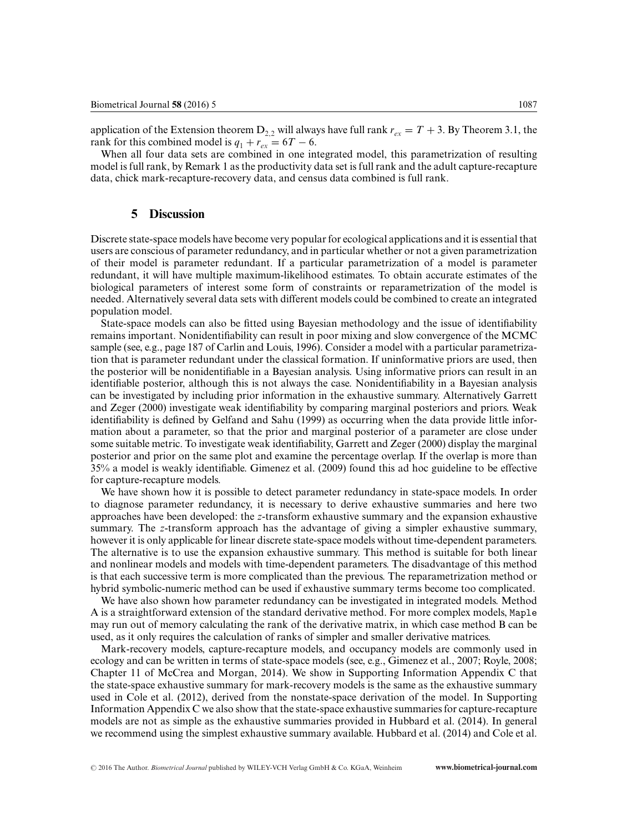application of the Extension theorem  $D_{2,2}$  will always have full rank  $r_{ex} = T + 3$ . By Theorem 3.1, the rank for this combined model is  $q_1 + r_{ex} = 6T - 6$ .

When all four data sets are combined in one integrated model, this parametrization of resulting model is full rank, by Remark 1 as the productivity data set is full rank and the adult capture-recapture data, chick mark-recapture-recovery data, and census data combined is full rank.

#### **5 Discussion**

Discrete state-space models have become very popular for ecological applications and it is essential that users are conscious of parameter redundancy, and in particular whether or not a given parametrization of their model is parameter redundant. If a particular parametrization of a model is parameter redundant, it will have multiple maximum-likelihood estimates. To obtain accurate estimates of the biological parameters of interest some form of constraints or reparametrization of the model is needed. Alternatively several data sets with different models could be combined to create an integrated population model.

State-space models can also be fitted using Bayesian methodology and the issue of identifiability remains important. Nonidentifiability can result in poor mixing and slow convergence of the MCMC sample (see, e.g., page 187 of Carlin and Louis, 1996). Consider a model with a particular parametrization that is parameter redundant under the classical formation. If uninformative priors are used, then the posterior will be nonidentifiable in a Bayesian analysis. Using informative priors can result in an identifiable posterior, although this is not always the case. Nonidentifiability in a Bayesian analysis can be investigated by including prior information in the exhaustive summary. Alternatively Garrett and Zeger (2000) investigate weak identifiability by comparing marginal posteriors and priors. Weak identifiability is defined by Gelfand and Sahu (1999) as occurring when the data provide little information about a parameter, so that the prior and marginal posterior of a parameter are close under some suitable metric. To investigate weak identifiability, Garrett and Zeger (2000) display the marginal posterior and prior on the same plot and examine the percentage overlap. If the overlap is more than 35% a model is weakly identifiable. Gimenez et al. (2009) found this ad hoc guideline to be effective for capture-recapture models.

We have shown how it is possible to detect parameter redundancy in state-space models. In order to diagnose parameter redundancy, it is necessary to derive exhaustive summaries and here two approaches have been developed: the *z*-transform exhaustive summary and the expansion exhaustive summary. The *z*-transform approach has the advantage of giving a simpler exhaustive summary, however it is only applicable for linear discrete state-space models without time-dependent parameters. The alternative is to use the expansion exhaustive summary. This method is suitable for both linear and nonlinear models and models with time-dependent parameters. The disadvantage of this method is that each successive term is more complicated than the previous. The reparametrization method or hybrid symbolic-numeric method can be used if exhaustive summary terms become too complicated.

We have also shown how parameter redundancy can be investigated in integrated models. Method A is a straightforward extension of the standard derivative method. For more complex models, Maple may run out of memory calculating the rank of the derivative matrix, in which case method B can be used, as it only requires the calculation of ranks of simpler and smaller derivative matrices.

Mark-recovery models, capture-recapture models, and occupancy models are commonly used in ecology and can be written in terms of state-space models (see, e.g., Gimenez et al., 2007; Royle, 2008; Chapter 11 of McCrea and Morgan, 2014). We show in Supporting Information Appendix C that the state-space exhaustive summary for mark-recovery models is the same as the exhaustive summary used in Cole et al. (2012), derived from the nonstate-space derivation of the model. In Supporting Information Appendix C we also show that the state-space exhaustive summaries for capture-recapture models are not as simple as the exhaustive summaries provided in Hubbard et al. (2014). In general we recommend using the simplest exhaustive summary available. Hubbard et al. (2014) and Cole et al.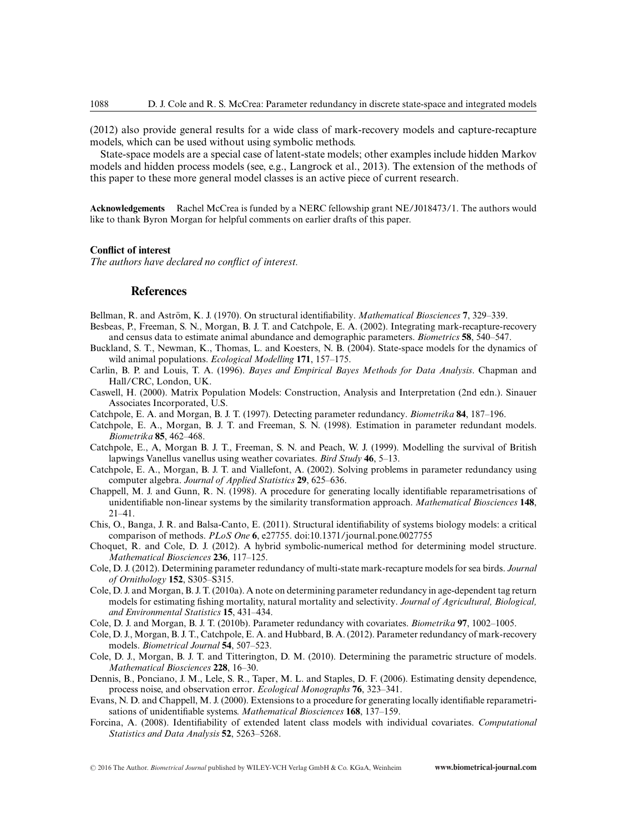(2012) also provide general results for a wide class of mark-recovery models and capture-recapture models, which can be used without using symbolic methods.

State-space models are a special case of latent-state models; other examples include hidden Markov models and hidden process models (see, e.g., Langrock et al., 2013). The extension of the methods of this paper to these more general model classes is an active piece of current research.

**Acknowledgements** Rachel McCrea is funded by a NERC fellowship grant NE/J018473/1. The authors would like to thank Byron Morgan for helpful comments on earlier drafts of this paper.

#### **Conflict of interest**

*The authors have declared no conflict of interest.*

#### **References**

Bellman, R. and Aström, K. J. (1970). On structural identifiability. *Mathematical Biosciences* 7, 329-339.

- Besbeas, P., Freeman, S. N., Morgan, B. J. T. and Catchpole, E. A. (2002). Integrating mark-recapture-recovery and census data to estimate animal abundance and demographic parameters. *Biometrics* **58**, 540–547.
- Buckland, S. T., Newman, K., Thomas, L. and Koesters, N. B. (2004). State-space models for the dynamics of wild animal populations. *Ecological Modelling* **171**, 157–175.
- Carlin, B. P. and Louis, T. A. (1996). *Bayes and Empirical Bayes Methods for Data Analysis*. Chapman and Hall/CRC, London, UK.
- Caswell, H. (2000). Matrix Population Models: Construction, Analysis and Interpretation (2nd edn.). Sinauer Associates Incorporated, U.S.
- Catchpole, E. A. and Morgan, B. J. T. (1997). Detecting parameter redundancy. *Biometrika* **84**, 187–196.
- Catchpole, E. A., Morgan, B. J. T. and Freeman, S. N. (1998). Estimation in parameter redundant models. *Biometrika* **85**, 462–468.
- Catchpole, E., A, Morgan B. J. T., Freeman, S. N. and Peach, W. J. (1999). Modelling the survival of British lapwings Vanellus vanellus using weather covariates. *Bird Study* **46**, 5–13.
- Catchpole, E. A., Morgan, B. J. T. and Viallefont, A. (2002). Solving problems in parameter redundancy using computer algebra. *Journal of Applied Statistics* **29**, 625–636.
- Chappell, M. J. and Gunn, R. N. (1998). A procedure for generating locally identifiable reparametrisations of unidentifiable non-linear systems by the similarity transformation approach. *Mathematical Biosciences* **148**, 21–41.
- Chis, O., Banga, J. R. and Balsa-Canto, E. (2011). Structural identifiability of systems biology models: a critical comparison of methods. *PLoS One* **6**, e27755. doi:10.1371/journal.pone.0027755
- Choquet, R. and Cole, D. J. (2012). A hybrid symbolic-numerical method for determining model structure. *Mathematical Biosciences* **236**, 117–125.
- Cole, D. J. (2012). Determining parameter redundancy of multi-state mark-recapture models for sea birds. *Journal of Ornithology* **152**, S305–S315.
- Cole, D. J. and Morgan, B. J. T. (2010a). A note on determining parameter redundancy in age-dependent tag return models for estimating fishing mortality, natural mortality and selectivity. *Journal of Agricultural, Biological, and Environmental Statistics* **15**, 431–434.
- Cole, D. J. and Morgan, B. J. T. (2010b). Parameter redundancy with covariates. *Biometrika* **97**, 1002–1005.
- Cole, D. J., Morgan, B. J. T., Catchpole, E. A. and Hubbard, B. A. (2012). Parameter redundancy of mark-recovery models. *Biometrical Journal* **54**, 507–523.
- Cole, D. J., Morgan, B. J. T. and Titterington, D. M. (2010). Determining the parametric structure of models. *Mathematical Biosciences* **228**, 16–30.
- Dennis, B., Ponciano, J. M., Lele, S. R., Taper, M. L. and Staples, D. F. (2006). Estimating density dependence, process noise, and observation error. *Ecological Monographs* **76**, 323–341.
- Evans, N. D. and Chappell, M. J. (2000). Extensions to a procedure for generating locally identifiable reparametrisations of unidentifiable systems. *Mathematical Biosciences* **168**, 137–159.
- Forcina, A. (2008). Identifiability of extended latent class models with individual covariates. *Computational Statistics and Data Analysis* **52**, 5263–5268.

<sup>C</sup> 2016 The Author. *Biometrical Journal* published by WILEY-VCH Verlag GmbH & Co. KGaA, Weinheim **www.biometrical-journal.com**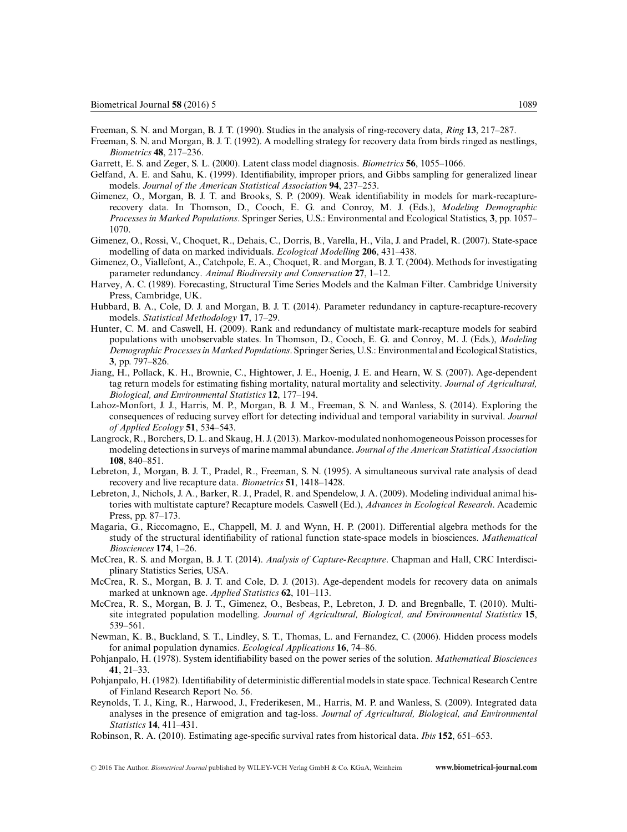Freeman, S. N. and Morgan, B. J. T. (1990). Studies in the analysis of ring-recovery data, *Ring* **13**, 217–287.

- Freeman, S. N. and Morgan, B. J. T. (1992). A modelling strategy for recovery data from birds ringed as nestlings, *Biometrics* **48**, 217–236.
- Garrett, E. S. and Zeger, S. L. (2000). Latent class model diagnosis. *Biometrics* **56**, 1055–1066.
- Gelfand, A. E. and Sahu, K. (1999). Identifiability, improper priors, and Gibbs sampling for generalized linear models. *Journal of the American Statistical Association* **94**, 237–253.
- Gimenez, O., Morgan, B. J. T. and Brooks, S. P. (2009). Weak identifiability in models for mark-recapturerecovery data. In Thomson, D., Cooch, E. G. and Conroy, M. J. (Eds.), *Modeling Demographic Processes in Marked Populations*. Springer Series, U.S.: Environmental and Ecological Statistics, **3**, pp. 1057– 1070.
- Gimenez, O., Rossi, V., Choquet, R., Dehais, C., Dorris, B., Varella, H., Vila, J. and Pradel, R. (2007). State-space modelling of data on marked individuals. *Ecological Modelling* **206**, 431–438.
- Gimenez, O., Viallefont, A., Catchpole, E. A., Choquet, R. and Morgan, B. J. T. (2004). Methods for investigating parameter redundancy. *Animal Biodiversity and Conservation* **27**, 1–12.
- Harvey, A. C. (1989). Forecasting, Structural Time Series Models and the Kalman Filter. Cambridge University Press, Cambridge, UK.
- Hubbard, B. A., Cole, D. J. and Morgan, B. J. T. (2014). Parameter redundancy in capture-recapture-recovery models. *Statistical Methodology* **17**, 17–29.
- Hunter, C. M. and Caswell, H. (2009). Rank and redundancy of multistate mark-recapture models for seabird populations with unobservable states. In Thomson, D., Cooch, E. G. and Conroy, M. J. (Eds.), *Modeling Demographic Processes in Marked Populations*. Springer Series, U.S.: Environmental and Ecological Statistics, **3**, pp. 797–826.
- Jiang, H., Pollack, K. H., Brownie, C., Hightower, J. E., Hoenig, J. E. and Hearn, W. S. (2007). Age-dependent tag return models for estimating fishing mortality, natural mortality and selectivity. *Journal of Agricultural, Biological, and Environmental Statistics* **12**, 177–194.
- Lahoz-Monfort, J. J., Harris, M. P., Morgan, B. J. M., Freeman, S. N. and Wanless, S. (2014). Exploring the consequences of reducing survey effort for detecting individual and temporal variability in survival. *Journal of Applied Ecology* **51**, 534–543.
- Langrock, R., Borchers, D. L. and Skaug, H. J. (2013). Markov-modulated nonhomogeneous Poisson processes for modeling detections in surveys of marine mammal abundance. *Journal of the American Statistical Association* **108**, 840–851.
- Lebreton, J., Morgan, B. J. T., Pradel, R., Freeman, S. N. (1995). A simultaneous survival rate analysis of dead recovery and live recapture data. *Biometrics* **51**, 1418–1428.
- Lebreton, J., Nichols, J. A., Barker, R. J., Pradel, R. and Spendelow, J. A. (2009). Modeling individual animal histories with multistate capture? Recapture models. Caswell (Ed.), *Advances in Ecological Research*. Academic Press, pp. 87–173.
- Magaria, G., Riccomagno, E., Chappell, M. J. and Wynn, H. P. (2001). Differential algebra methods for the study of the structural identifiability of rational function state-space models in biosciences. *Mathematical Biosciences* **174**, 1–26.
- McCrea, R. S. and Morgan, B. J. T. (2014). *Analysis of Capture-Recapture*. Chapman and Hall, CRC Interdisciplinary Statistics Series, USA.
- McCrea, R. S., Morgan, B. J. T. and Cole, D. J. (2013). Age-dependent models for recovery data on animals marked at unknown age. *Applied Statistics* **62**, 101–113.
- McCrea, R. S., Morgan, B. J. T., Gimenez, O., Besbeas, P., Lebreton, J. D. and Bregnballe, T. (2010). Multisite integrated population modelling. *Journal of Agricultural, Biological, and Environmental Statistics* **15**, 539–561.
- Newman, K. B., Buckland, S. T., Lindley, S. T., Thomas, L. and Fernandez, C. (2006). Hidden process models for animal population dynamics. *Ecological Applications* **16**, 74–86.
- Pohjanpalo, H. (1978). System identifiability based on the power series of the solution. *Mathematical Biosciences* **41**, 21–33.
- Pohjanpalo, H. (1982). Identifiability of deterministic differential models in state space. Technical Research Centre of Finland Research Report No. 56.
- Reynolds, T. J., King, R., Harwood, J., Frederikesen, M., Harris, M. P. and Wanless, S. (2009). Integrated data analyses in the presence of emigration and tag-loss. *Journal of Agricultural, Biological, and Environmental Statistics* **14**, 411–431.
- Robinson, R. A. (2010). Estimating age-specific survival rates from historical data. *Ibis* **152**, 651–653.